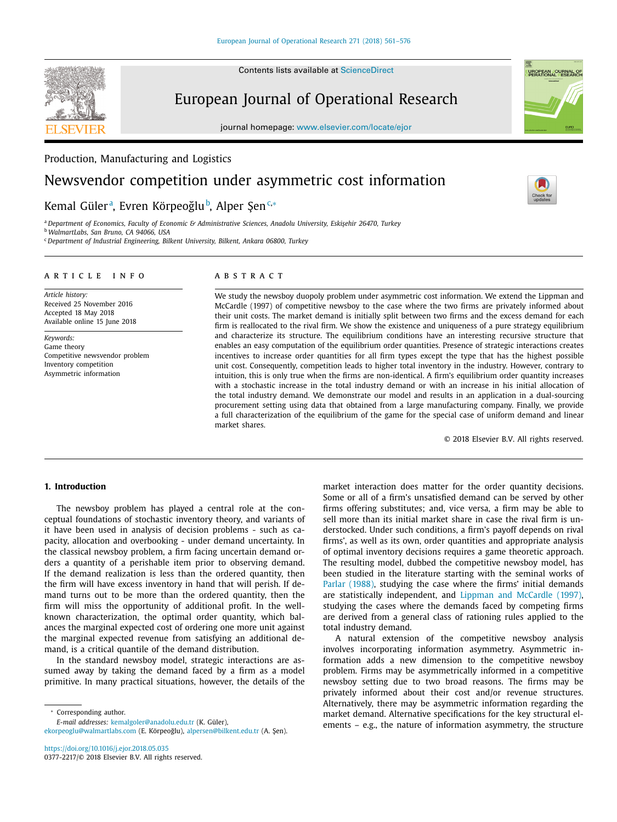Contents lists available at [ScienceDirect](http://www.ScienceDirect.com)



# European Journal of Operational Research

journal homepage: [www.elsevier.com/locate/ejor](http://www.elsevier.com/locate/ejor)

Production, Manufacturing and Logistics

# Newsvendor competition under asymmetric cost information

# Kemal Gülerª, Evren Körpeoğlu<sup>b</sup>, Alper Şen<sup>c,</sup>\*

<sup>a</sup> *Department of Economics, Faculty of Economic & Administrative Sciences, Anadolu University, Eskis¸ ehir 26470, Turkey* <sup>b</sup> *WalmartLabs, San Bruno, CA 94066, USA*

<sup>c</sup> *Department of Industrial Engineering, Bilkent University, Bilkent, Ankara 06800, Turkey*

#### a r t i c l e i n f o

*Article history:* Received 25 November 2016 Accepted 18 May 2018 Available online 15 June 2018

*Keywords:* Game theory Competitive newsvendor problem Inventory competition Asymmetric information

# a b s t r a c t

We study the newsboy duopoly problem under asymmetric cost information. We extend the Lippman and McCardle (1997) of competitive newsboy to the case where the two firms are privately informed about their unit costs. The market demand is initially split between two firms and the excess demand for each firm is reallocated to the rival firm. We show the existence and uniqueness of a pure strategy equilibrium and characterize its structure. The equilibrium conditions have an interesting recursive structure that enables an easy computation of the equilibrium order quantities. Presence of strategic interactions creates incentives to increase order quantities for all firm types except the type that has the highest possible unit cost. Consequently, competition leads to higher total inventory in the industry. However, contrary to intuition, this is only true when the firms are non-identical. A firm's equilibrium order quantity increases with a stochastic increase in the total industry demand or with an increase in his initial allocation of the total industry demand. We demonstrate our model and results in an application in a dual-sourcing procurement setting using data that obtained from a large manufacturing company. Finally, we provide a full characterization of the equilibrium of the game for the special case of uniform demand and linear market shares.

© 2018 Elsevier B.V. All rights reserved.

# **1. Introduction**

The newsboy problem has played a central role at the conceptual foundations of stochastic inventory theory, and variants of it have been used in analysis of decision problems - such as capacity, allocation and overbooking - under demand uncertainty. In the classical newsboy problem, a firm facing uncertain demand orders a quantity of a perishable item prior to observing demand. If the demand realization is less than the ordered quantity, then the firm will have excess inventory in hand that will perish. If demand turns out to be more than the ordered quantity, then the firm will miss the opportunity of additional profit. In the wellknown characterization, the optimal order quantity, which balances the marginal expected cost of ordering one more unit against the marginal expected revenue from satisfying an additional demand, is a critical quantile of the demand distribution.

In the standard newsboy model, strategic interactions are assumed away by taking the demand faced by a firm as a model primitive. In many practical situations, however, the details of the

Corresponding author.

*E-mail addresses:* [kemalgoler@anadolu.edu.tr](mailto:kemalgoler@anadolu.edu.tr) (K. Güler),

[ekorpeoglu@walmartlabs.com](mailto:ekorpeoglu@walmartlabs.com) (E. Körpeoğlu), [alpersen@bilkent.edu.tr](mailto:alpersen@bilkent.edu.tr) (A. Şen).

market interaction does matter for the order quantity decisions. Some or all of a firm's unsatisfied demand can be served by other firms offering substitutes; and, vice versa, a firm may be able to sell more than its initial market share in case the rival firm is understocked. Under such conditions, a firm's payoff depends on rival firms', as well as its own, order quantities and appropriate analysis of optimal inventory decisions requires a game theoretic approach. The resulting model, dubbed the competitive newsboy model, has been studied in the literature starting with the seminal works of Parlar [\(1988\),](#page-15-0) studying the case where the firms' initial demands are statistically independent, and Lippman and [McCardle](#page-15-0) (1997), studying the cases where the demands faced by competing firms are derived from a general class of rationing rules applied to the total industry demand.

A natural extension of the competitive newsboy analysis involves incorporating information asymmetry. Asymmetric information adds a new dimension to the competitive newsboy problem. Firms may be asymmetrically informed in a competitive newsboy setting due to two broad reasons. The firms may be privately informed about their cost and/or revenue structures. Alternatively, there may be asymmetric information regarding the market demand. Alternative specifications for the key structural elements – e.g., the nature of information asymmetry, the structure



**ERICOPEAN JOURNAL**<br>PERATIONAL RESEA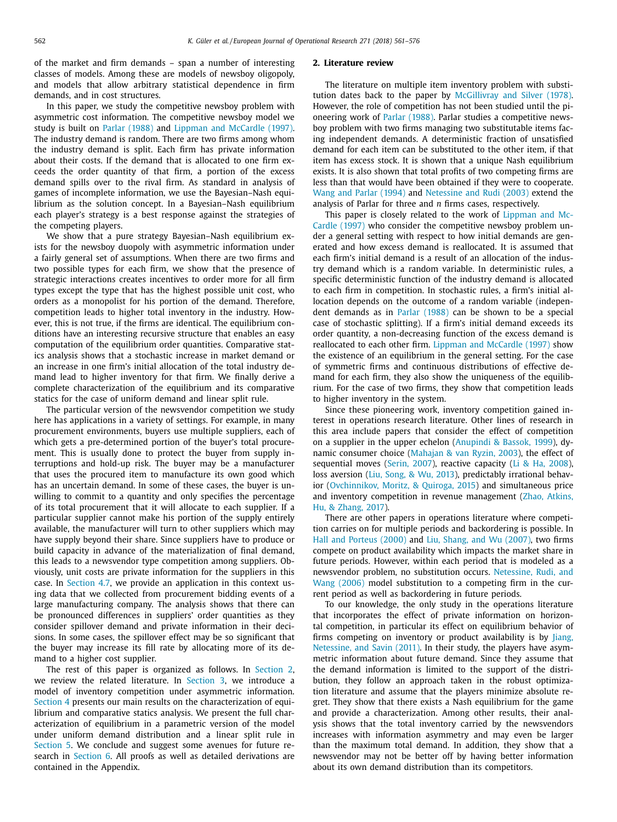of the market and firm demands – span a number of interesting classes of models. Among these are models of newsboy oligopoly, and models that allow arbitrary statistical dependence in firm demands, and in cost structures.

In this paper, we study the competitive newsboy problem with asymmetric cost information. The competitive newsboy model we study is built on Parlar [\(1988\)](#page-15-0) and Lippman and [McCardle](#page-15-0) (1997). The industry demand is random. There are two firms among whom the industry demand is split. Each firm has private information about their costs. If the demand that is allocated to one firm exceeds the order quantity of that firm, a portion of the excess demand spills over to the rival firm. As standard in analysis of games of incomplete information, we use the Bayesian–Nash equilibrium as the solution concept. In a Bayesian–Nash equilibrium each player's strategy is a best response against the strategies of the competing players.

We show that a pure strategy Bayesian–Nash equilibrium exists for the newsboy duopoly with asymmetric information under a fairly general set of assumptions. When there are two firms and two possible types for each firm, we show that the presence of strategic interactions creates incentives to order more for all firm types except the type that has the highest possible unit cost, who orders as a monopolist for his portion of the demand. Therefore, competition leads to higher total inventory in the industry. However, this is not true, if the firms are identical. The equilibrium conditions have an interesting recursive structure that enables an easy computation of the equilibrium order quantities. Comparative statics analysis shows that a stochastic increase in market demand or an increase in one firm's initial allocation of the total industry demand lead to higher inventory for that firm. We finally derive a complete characterization of the equilibrium and its comparative statics for the case of uniform demand and linear split rule.

The particular version of the newsvendor competition we study here has applications in a variety of settings. For example, in many procurement environments, buyers use multiple suppliers, each of which gets a pre-determined portion of the buyer's total procurement. This is usually done to protect the buyer from supply interruptions and hold-up risk. The buyer may be a manufacturer that uses the procured item to manufacture its own good which has an uncertain demand. In some of these cases, the buyer is unwilling to commit to a quantity and only specifies the percentage of its total procurement that it will allocate to each supplier. If a particular supplier cannot make his portion of the supply entirely available, the manufacturer will turn to other suppliers which may have supply beyond their share. Since suppliers have to produce or build capacity in advance of the materialization of final demand, this leads to a newsvendor type competition among suppliers. Obviously, unit costs are private information for the suppliers in this case. In [Section](#page-6-0) 4.7, we provide an application in this context using data that we collected from procurement bidding events of a large manufacturing company. The analysis shows that there can be pronounced differences in suppliers' order quantities as they consider spillover demand and private information in their decisions. In some cases, the spillover effect may be so significant that the buyer may increase its fill rate by allocating more of its demand to a higher cost supplier.

The rest of this paper is organized as follows. In Section 2, we review the related literature. In [Section](#page-2-0) 3, we introduce a model of inventory competition under asymmetric information. [Section](#page-3-0) 4 presents our main results on the characterization of equilibrium and comparative statics analysis. We present the full characterization of equilibrium in a parametric version of the model under uniform demand distribution and a linear split rule in [Section](#page-7-0) 5. We conclude and suggest some avenues for future research in [Section](#page-9-0) 6. All proofs as well as detailed derivations are contained in the Appendix.

# **2. Literature review**

The literature on multiple item inventory problem with substitution dates back to the paper by [McGillivray](#page-15-0) and Silver (1978). However, the role of competition has not been studied until the pioneering work of Parlar [\(1988\).](#page-15-0) Parlar studies a competitive newsboy problem with two firms managing two substitutable items facing independent demands. A deterministic fraction of unsatisfied demand for each item can be substituted to the other item, if that item has excess stock. It is shown that a unique Nash equilibrium exists. It is also shown that total profits of two competing firms are less than that would have been obtained if they were to cooperate. Wang and Parlar [\(1994\)](#page-15-0) and [Netessine](#page-15-0) and Rudi (2003) extend the analysis of Parlar for three and *n* firms cases, respectively.

This paper is closely related to the work of Lippman and Mc-Cardle (1997) who consider the [competitive](#page-15-0) newsboy problem under a general setting with respect to how initial demands are generated and how excess demand is reallocated. It is assumed that each firm's initial demand is a result of an allocation of the industry demand which is a random variable. In deterministic rules, a specific deterministic function of the industry demand is allocated to each firm in competition. In stochastic rules, a firm's initial allocation depends on the outcome of a random variable (independent demands as in Parlar [\(1988\)](#page-15-0) can be shown to be a special case of stochastic splitting). If a firm's initial demand exceeds its order quantity, a non-decreasing function of the excess demand is reallocated to each other firm. Lippman and [McCardle](#page-15-0) (1997) show the existence of an equilibrium in the general setting. For the case of symmetric firms and continuous distributions of effective demand for each firm, they also show the uniqueness of the equilibrium. For the case of two firms, they show that competition leads to higher inventory in the system.

Since these pioneering work, inventory competition gained interest in operations research literature. Other lines of research in this area include papers that consider the effect of competition on a supplier in the upper echelon [\(Anupindi](#page-15-0) & Bassok, 1999), dynamic consumer choice [\(Mahajan](#page-15-0) & van Ryzin, 2003), the effect of sequential moves [\(Serin,](#page-15-0) 2007), reactive capacity (Li & Ha, [2008\)](#page-15-0), loss aversion (Liu, [Song,](#page-15-0) & Wu, 2013), predictably irrational behavior [\(Ovchinnikov,](#page-15-0) Moritz, & Quiroga, 2015) and simultaneous price and inventory competition in revenue [management](#page-15-0) (Zhao, Atkins, Hu, & Zhang, 2017).

There are other papers in operations literature where competition carries on for multiple periods and backordering is possible. In Hall and [Porteus](#page-15-0) (2000) and Liu, Shang, and Wu [\(2007\),](#page-15-0) two firms compete on product availability which impacts the market share in future periods. However, within each period that is modeled as a [newsvendor](#page-15-0) problem, no substitution occurs. Netessine, Rudi, and Wang (2006) model substitution to a competing firm in the current period as well as backordering in future periods.

To our knowledge, the only study in the operations literature that incorporates the effect of private information on horizontal competition, in particular its effect on equilibrium behavior of firms competing on inventory or product [availability](#page-15-0) is by Jiang, Netessine, and Savin (2011). In their study, the players have asymmetric information about future demand. Since they assume that the demand information is limited to the support of the distribution, they follow an approach taken in the robust optimization literature and assume that the players minimize absolute regret. They show that there exists a Nash equilibrium for the game and provide a characterization. Among other results, their analysis shows that the total inventory carried by the newsvendors increases with information asymmetry and may even be larger than the maximum total demand. In addition, they show that a newsvendor may not be better off by having better information about its own demand distribution than its competitors.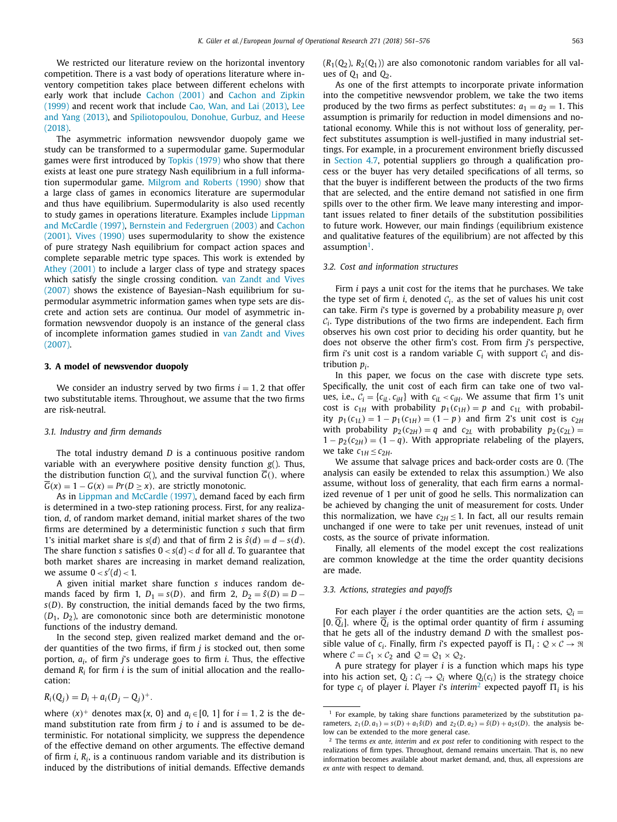<span id="page-2-0"></span>We restricted our literature review on the horizontal inventory competition. There is a vast body of operations literature where inventory competition takes place between different echelons with early work that include [Cachon](#page-15-0) (2001) and Cachon and Zipkin (1999) and recent work that [include](#page-15-0) Cao, Wan, and Lai [\(2013\),](#page-15-0) Lee and Yang (2013), and [Spiliotopoulou,](#page-15-0) Donohue, Gurbuz, and Heese (2018).

The asymmetric information newsvendor duopoly game we study can be transformed to a supermodular game. Supermodular games were first introduced by Topkis [\(1979\)](#page-15-0) who show that there exists at least one pure strategy Nash equilibrium in a full information supermodular game. [Milgrom](#page-15-0) and Roberts (1990) show that a large class of games in economics literature are supermodular and thus have equilibrium. Supermodularity is also used recently to study games in operations literature. Examples include Lippman and McCardle (1997), Bernstein and [Federgruen](#page-15-0) (2003) and Cachon (2001). Vives [\(1990\)](#page-15-0) uses [supermodularity](#page-15-0) to show the existence of pure strategy Nash equilibrium for compact action spaces and complete separable metric type spaces. This work is extended by Athey [\(2001\)](#page-15-0) to include a larger class of type and strategy spaces which satisfy the single crossing condition. van Zandt and Vives (2007) shows the existence of [Bayesian–Nash](#page-15-0) equilibrium for supermodular asymmetric information games when type sets are discrete and action sets are continua. Our model of asymmetric information newsvendor duopoly is an instance of the general class of incomplete [information](#page-15-0) games studied in van Zandt and Vives (2007).

### **3. A model of newsvendor duopoly**

We consider an industry served by two firms  $i = 1, 2$  that offer two substitutable items. Throughout, we assume that the two firms are risk-neutral.

#### *3.1. Industry and firm demands*

The total industry demand *D* is a continuous positive random variable with an everywhere positive density function *g*(). Thus, the distribution function  $G($ ), and the survival function  $\overline{G}($ ), where  $\overline{G}(x) = 1 - G(x) = Pr(D \ge x)$ , are strictly monotonic.

As in Lippman and [McCardle](#page-15-0) (1997), demand faced by each firm is determined in a two-step rationing process. First, for any realization, *d*, of random market demand, initial market shares of the two firms are determined by a deterministic function *s* such that firm 1's initial market share is *s*(*d*) and that of firm 2 is  $\hat{s}(d) = d - s(d)$ . The share function *s* satisfies  $0 < s(d) < d$  for all *d*. To guarantee that both market shares are increasing in market demand realization, we assume  $0 < s'(d) < 1$ .

A given initial market share function *s* induces random demands faced by firm 1,  $D_1 = s(D)$ , and firm 2,  $D_2 = \hat{s}(D) = D$ *s*(*D*). By construction, the initial demands faced by the two firms,  $(D_1, D_2)$ , are comonotonic since both are deterministic monotone functions of the industry demand.

In the second step, given realized market demand and the order quantities of the two firms, if firm *j* is stocked out, then some portion, *ai*, of firm *j*'s underage goes to firm *i*. Thus, the effective demand *Ri* for firm *i* is the sum of initial allocation and the reallocation:

$$
R_i(Q_j) = D_i + a_i (D_j - Q_j)^+.
$$

where  $(x)^+$  denotes max  $\{x, 0\}$  and  $a_i \in [0, 1]$  for  $i = 1, 2$  is the demand substitution rate from firm *j* to *i* and is assumed to be deterministic. For notational simplicity, we suppress the dependence of the effective demand on other arguments. The effective demand of firm *i*, *Ri*, is a continuous random variable and its distribution is induced by the distributions of initial demands. Effective demands  $(R_1(Q_2), R_2(Q_1))$  are also comonotonic random variables for all values of *Q*<sup>1</sup> and *Q*2.

As one of the first attempts to incorporate private information into the competitive newsvendor problem, we take the two items produced by the two firms as perfect substitutes:  $a_1 = a_2 = 1$ . This assumption is primarily for reduction in model dimensions and notational economy. While this is not without loss of generality, perfect substitutes assumption is well-justified in many industrial settings. For example, in a procurement environment briefly discussed in [Section](#page-6-0) 4.7, potential suppliers go through a qualification process or the buyer has very detailed specifications of all terms, so that the buyer is indifferent between the products of the two firms that are selected, and the entire demand not satisfied in one firm spills over to the other firm. We leave many interesting and important issues related to finer details of the substitution possibilities to future work. However, our main findings (equilibrium existence and qualitative features of the equilibrium) are not affected by this assumption $<sup>1</sup>$ .</sup>

#### *3.2. Cost and information structures*

Firm *i* pays a unit cost for the items that he purchases. We take the type set of firm *i*, denoted  $C_i$ , as the set of values his unit cost can take. Firm *i*'s type is governed by a probability measure *pi* over  $C_i$ . Type distributions of the two firms are independent. Each firm observes his own cost prior to deciding his order quantity, but he does not observe the other firm's cost. From firm *j*'s perspective, firm *i*'s unit cost is a random variable  $C_i$  with support  $C_i$  and distribution *pi*.

In this paper, we focus on the case with discrete type sets. Specifically, the unit cost of each firm can take one of two values, i.e.,  $C_i = \{c_{iL}, c_{iH}\}\$  with  $c_{iL} < c_{iH}$ . We assume that firm 1's unit cost is  $c_{1H}$  with probability  $p_1(c_{1H}) = p$  and  $c_{1L}$  with probability  $p_1(c_{1L}) = 1 - p_1(c_{1H}) = (1 - p)$  and firm 2's unit cost is  $c_{2H}$ with probability  $p_2(c_{2H}) = q$  and  $c_{2L}$  with probability  $p_2(c_{2L}) =$  $1 - p_2(c_{2H}) = (1 - q)$ . With appropriate relabeling of the players, we take  $c_{1H} \le c_{2H}$ .

We assume that salvage prices and back-order costs are 0. (The analysis can easily be extended to relax this assumption.) We also assume, without loss of generality, that each firm earns a normalized revenue of 1 per unit of good he sells. This normalization can be achieved by changing the unit of measurement for costs. Under this normalization, we have  $c_{2H} \leq 1$ . In fact, all our results remain unchanged if one were to take per unit revenues, instead of unit costs, as the source of private information.

Finally, all elements of the model except the cost realizations are common knowledge at the time the order quantity decisions are made.

#### *3.3. Actions, strategies and payoffs*

For each player *i* the order quantities are the action sets,  $Q_i =$  $[0,\overline{Q}_i]$ , where  $\overline{Q}_i$  is the optimal order quantity of firm *i* assuming that he gets all of the industry demand *D* with the smallest possible value of  $c_i$ . Finally, firm *i*'s expected payoff is  $\Pi_i: Q \times C \rightarrow \mathbb{R}$ where  $C = C_1 \times C_2$  and  $Q = Q_1 \times Q_2$ .

A pure strategy for player *i* is a function which maps his type into his action set,  $Q_i$ :  $C_i \rightarrow Q_i$  where  $Q_i(c_i)$  is the strategy choice for type  $c_i$  of player *i*. Player *i*'s *interim*<sup>2</sup> expected payoff  $\Pi_i$  is his

<sup>&</sup>lt;sup>1</sup> For example, by taking share functions parameterized by the substitution parameters,  $z_1(D, a_1) = s(D) + a_1\hat{s}(D)$  and  $z_2(D, a_2) = \hat{s}(D) + a_2s(D)$ , the analysis below can be extended to the more general case.

<sup>2</sup> The terms *ex ante, interim* and *ex post* refer to conditioning with respect to the realizations of firm types. Throughout, demand remains uncertain. That is, no new information becomes available about market demand, and, thus, all expressions are *ex ante* with respect to demand.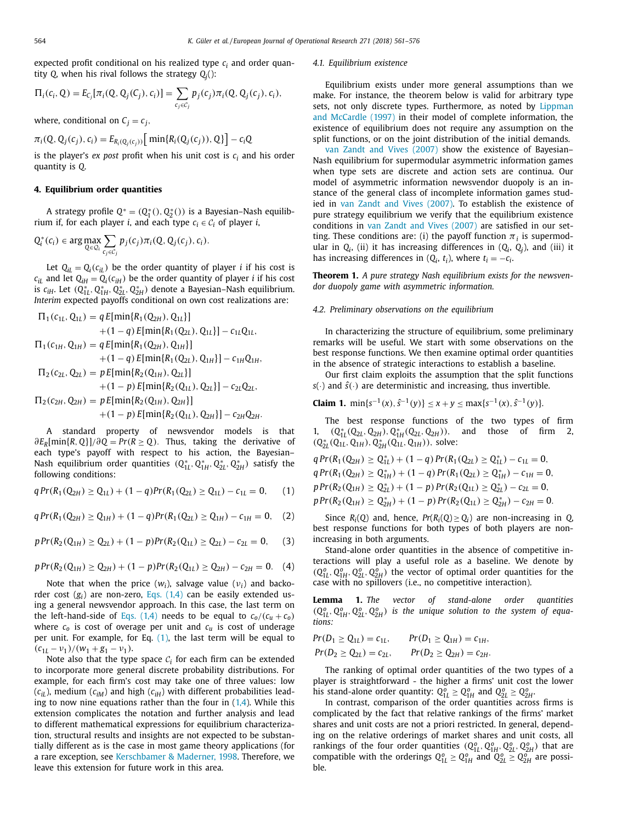<span id="page-3-0"></span>expected profit conditional on his realized type  $c_i$  and order quantity *Q*, when his rival follows the strategy *Qj*():

$$
\Pi_i(c_i, Q) = E_{C_j}[\pi_i(Q, Q_j(C_j), c_i)] = \sum_{c_j \in C_j} p_j(c_j)\pi_i(Q, Q_j(c_j), c_i),
$$

where, conditional on  $C_i = c_j$ ,

$$
\pi_i(Q, Q_j(c_j), c_i) = E_{R_i(Q_j(c_j))} [\min\{R_i(Q_j(c_j)), Q\}] - c_i Q
$$

is the player's *ex post* profit when his unit cost is  $c_i$  and his order quantity is *Q*.

# **4. Equilibrium order quantities**

A strategy profile *Q*<sup>∗</sup> = (*Q*<sup>∗</sup> <sup>1</sup> (),*Q*<sup>∗</sup> <sup>2</sup> ()) is a Bayesian–Nash equilibrium if, for each player *i*, and each type  $c_i \in C_i$  of player *i*,

$$
Q_i^*(c_i) \in \arg\max_{Q \in \mathcal{Q}_i} \sum_{c_j \in C_j} p_j(c_j) \pi_i(Q, Q_j(c_j), c_i).
$$

Let  $Q_{iL} = Q_i(c_{iL})$  be the order quantity of player *i* if his cost is  $c_{iL}$  and let  $Q_{iH} = Q_i(c_{iH})$  be the order quantity of player *i* if his cost is  $c_{iH}$ . Let  $(Q_{1L}^*, Q_{1H}^*, Q_{2L}^*, Q_{2H}^*)$  denote a Bayesian–Nash equilibrium.<br>*Interim* expected payoffs conditional on own cost realizations are:

$$
\Pi_{1}(c_{1L}, Q_{1L}) = qE[\min\{R_{1}(Q_{2H}), Q_{1L}\}] \n+ (1-q)E[\min\{R_{1}(Q_{2L}), Q_{1L}\}] - c_{1L}Q_{1L}, \n\Pi_{1}(c_{1H}, Q_{1H}) = qE[\min\{R_{1}(Q_{2H}), Q_{1H}\}] \n+ (1-q)E[\min\{R_{1}(Q_{2L}), Q_{1H}\}] - c_{1H}Q_{1H}, \n\Pi_{2}(c_{2L}, Q_{2L}) = pE[\min\{R_{2}(Q_{1H}), Q_{2L}\}] \n+ (1-p)E[\min\{R_{2}(Q_{1L}), Q_{2L}\}] - c_{2L}Q_{2L}, \n\Pi_{2}(c_{2H}, Q_{2H}) = pE[\min\{R_{2}(Q_{1H}), Q_{2H}\}] \n+ (1-p)E[\min\{R_{2}(Q_{1L}), Q_{2H}\}] - c_{2H}Q_{2H}.
$$

A standard property of newsvendor models is that  $\partial E_R[\min\{R,Q\}]/\partial Q = Pr(R \ge Q)$ . Thus, taking the derivative of each type's payoff with respect to his action, the Bayesian– Nash equilibrium order quantities  $(Q_{1L}^*, Q_{1H}^*, Q_{2L}^*, Q_{2H}^*)$  satisfy the following conditions:

$$
qPr(R_1(Q_{2H}) \geq Q_{1L}) + (1-q)Pr(R_1(Q_{2L}) \geq Q_{1L}) - c_{1L} = 0, \qquad (1)
$$

$$
qPr(R_1(Q_{2H}) \geq Q_{1H}) + (1-q)Pr(R_1(Q_{2L}) \geq Q_{1H}) - c_{1H} = 0, \quad (2)
$$

$$
pPr(R_2(Q_{1H}) \geq Q_{2L}) + (1-p)Pr(R_2(Q_{1L}) \geq Q_{2L}) - c_{2L} = 0, \quad (3)
$$

$$
pPr(R_2(Q_{1H}) \geq Q_{2H}) + (1-p)Pr(R_2(Q_{1L}) \geq Q_{2H}) - c_{2H} = 0. \quad (4)
$$

Note that when the price  $(w_i)$ , salvage value  $(v_i)$  and backorder cost (*gi*) are non-zero, Eqs. (1,4) can be easily extended using a general newsvendor approach. In this case, the last term on the left-hand-side of Eqs. (1,4) needs to be equal to  $c_0/(c_u+c_o)$ where  $c_0$  is cost of overage per unit and  $c_u$  is cost of underage per unit. For example, for Eq. (1), the last term will be equal to  $(c_{1L} - \nu_1)/(w_1 + g_1 - \nu_1).$ 

Note also that the type space  $C_i$  for each firm can be extended to incorporate more general discrete probability distributions. For example, for each firm's cost may take one of three values: low  $(c_{iL})$ , medium  $(c_{iM})$  and high  $(c_{iH})$  with different probabilities leading to now nine equations rather than the four in  $(1,4)$ . While this extension complicates the notation and further analysis and lead to different mathematical expressions for equilibrium characterization, structural results and insights are not expected to be substantially different as is the case in most game theory applications (for a rare exception, see [Kerschbamer](#page-15-0) & Maderner, 1998. Therefore, we leave this extension for future work in this area.

# *4.1. Equilibrium existence*

Equilibrium exists under more general assumptions than we make. For instance, the theorem below is valid for arbitrary type sets, not only discrete types. [Furthermore,](#page-15-0) as noted by Lippman and McCardle (1997) in their model of complete information, the existence of equilibrium does not require any assumption on the split functions, or on the joint distribution of the initial demands.

van Zandt and Vives [\(2007\)](#page-15-0) show the existence of Bayesian– Nash equilibrium for supermodular asymmetric information games when type sets are discrete and action sets are continua. Our model of asymmetric information newsvendor duopoly is an instance of the general class of incomplete information games studied in van Zandt and Vives [\(2007\).](#page-15-0) To establish the existence of pure strategy equilibrium we verify that the equilibrium existence conditions in van Zandt and Vives [\(2007\)](#page-15-0) are satisfied in our setting. These conditions are: (i) the payoff function  $\pi_i$  is supermodular in  $Q_i$ , (ii) it has increasing differences in  $(Q_i, Q_j)$ , and (iii) it has increasing differences in  $(Q_i, t_i)$ , where  $t_i = -c_i$ .

**Theorem 1.** *A pure strategy Nash equilibrium exists for the newsvendor duopoly game with asymmetric information.*

## *4.2. Preliminary observations on the equilibrium*

In characterizing the structure of equilibrium, some preliminary remarks will be useful. We start with some observations on the best response functions. We then examine optimal order quantities in the absence of strategic interactions to establish a baseline.

Our first claim exploits the assumption that the split functions  $s(.)$  and  $\hat{s}(.)$  are deterministic and increasing, thus invertible.

**Claim 1.** min{ $s^{-1}(x)$ ,  $\hat{s}^{-1}(y)$ } ≤  $x + y$  ≤ max{ $s^{-1}(x)$ ,  $\hat{s}^{-1}(y)$ }*.* 

The best response functions of the two types of firm 1, (*Q*<sup>∗</sup> <sup>1</sup>*<sup>L</sup>*(*Q*2*L*,*Q*2*<sup>H</sup>* ),*Q*<sup>∗</sup> <sup>1</sup>*<sup>H</sup>* (*Q*2*L*,*Q*2*<sup>H</sup>* )), and those of firm 2, (*Q*<sup>∗</sup> <sup>2</sup>*<sup>L</sup>*(*Q*1*L*,*Q*1*<sup>H</sup>* ),*Q*<sup>∗</sup> <sup>2</sup>*<sup>H</sup>* (*Q*1*L*,*Q*1*<sup>H</sup>* )), solve:

$$
qPr(R_1(Q_{2H}) \ge Q_{1L}^*) + (1-q)Pr(R_1(Q_{2L}) \ge Q_{1L}^*) - c_{1L} = 0,
$$
  
\n
$$
qPr(R_1(Q_{2H}) \ge Q_{1H}^*) + (1-q)Pr(R_1(Q_{2L}) \ge Q_{1H}^*) - c_{1H} = 0,
$$
  
\n
$$
pPr(R_2(Q_{1H}) \ge Q_{2L}^*) + (1-p)Pr(R_2(Q_{1L}) \ge Q_{2L}^*) - c_{2L} = 0,
$$
  
\n
$$
pPr(R_2(Q_{1H}) \ge Q_{2H}^*) + (1-p)Pr(R_2(Q_{1L}) \ge Q_{2H}^*) - c_{2H} = 0.
$$

Since  $R_i(Q)$  and, hence,  $Pr(R_i(Q) \ge Q_i)$  are non-increasing in *Q*, best response functions for both types of both players are nonincreasing in both arguments.

Stand-alone order quantities in the absence of competitive interactions will play a useful role as a baseline. We denote by  $(Q_{1L}^o, Q_{1H}^o, Q_{2L}^o, Q_{2H}^o)$  the vector of optimal order quantities for the case with no spillovers (i.e., no competitive interaction).

**Lemma 1.** *The vector of stand-alone order quantities*  $(Q_{1L}^o, Q_{1H}^o, Q_{2L}^o, Q_{2H}^o)$  is the unique solution to the system of equa*tions:*

$$
Pr(D_1 \ge Q_{1L}) = c_{1L},
$$
  $Pr(D_1 \ge Q_{1H}) = c_{1H},$   
\n $Pr(D_2 \ge Q_{2L}) = c_{2L},$   $Pr(D_2 \ge Q_{2H}) = c_{2H}.$ 

The ranking of optimal order quantities of the two types of a player is straightforward - the higher a firms' unit cost the lower his stand-alone order quantity:  $Q_{1L}^o \geq Q_{1H}^o$  and  $Q_{2L}^o \geq Q_{2H}^o$ .

In contrast, comparison of the order quantities across firms is complicated by the fact that relative rankings of the firms' market shares and unit costs are not a priori restricted. In general, depending on the relative orderings of market shares and unit costs, all rankings of the four order quantities  $(Q_{1L}^0, Q_{1H}^0, Q_{2L}^0, Q_{2H}^0)$  that are compatible with the orderings  $Q_{1L}^0 \ge Q_{1H}^0$  and  $Q_{2L}^0 \ge Q_{2H}^0$  are possible.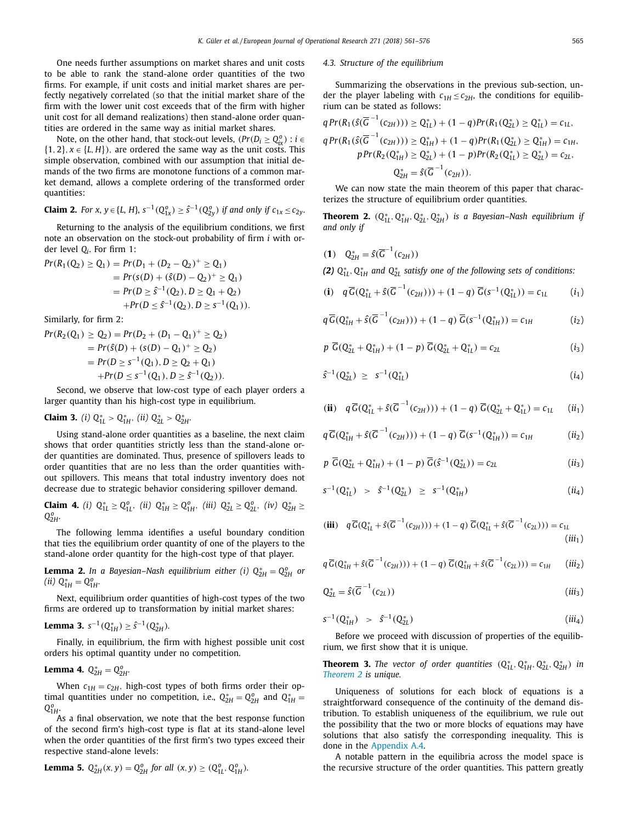<span id="page-4-0"></span>One needs further assumptions on market shares and unit costs to be able to rank the stand-alone order quantities of the two firms. For example, if unit costs and initial market shares are perfectly negatively correlated (so that the initial market share of the firm with the lower unit cost exceeds that of the firm with higher unit cost for all demand realizations) then stand-alone order quantities are ordered in the same way as initial market shares.

Note, on the other hand, that stock-out levels,  $(Pr(D_i \ge Q^o_{ix}) : i \in$  $\{1, 2\}, x \in \{L, H\}$ ), are ordered the same way as the unit costs. This simple observation, combined with our assumption that initial demands of the two firms are monotone functions of a common market demand, allows a complete ordering of the transformed order quantities:

**Claim 2.** For x,  $y \in \{L, H\}$ ,  $s^{-1}(Q_{1x}^o) \geq \hat{s}^{-1}(Q_{2y}^o)$  if and only if  $c_{1x} \leq c_{2y}$ .

Returning to the analysis of the equilibrium conditions, we first note an observation on the stock-out probability of firm *i* with order level *Qi*. For firm 1:

$$
Pr(R_1(Q_2) \ge Q_1) = Pr(D_1 + (D_2 - Q_2)^+ \ge Q_1)
$$
  
= Pr(s(D) + (\hat{s}(D) - Q\_2)^+ \ge Q\_1)  
= Pr(D \ge \hat{s}^{-1}(Q\_2), D \ge Q\_1 + Q\_2)  
+ Pr(D \le \hat{s}^{-1}(Q\_2), D \ge s^{-1}(Q\_1)).

Similarly, for firm 2:

$$
Pr(R_2(Q_1) \ge Q_2) = Pr(D_2 + (D_1 - Q_1)^+ \ge Q_2)
$$
  
= Pr( $\hat{S}(D)$  + ( $s(D)$  -  $Q_1$ )<sup>+</sup>  $\ge Q_2$ )  
= Pr(D \ge s<sup>-1</sup>(Q\_1), D \ge Q\_2 + Q\_1)  
+ Pr(D \le s<sup>-1</sup>(Q\_1), D \ge \hat{s}<sup>-1</sup>(Q\_2)).

Second, we observe that low-cost type of each player orders a larger quantity than his high-cost type in equilibrium.

**Claim 3.** (i) 
$$
Q_{1L}^* > Q_{1H}^*
$$
, (ii)  $Q_{2L}^* > Q_{2H}^*$ .

Using stand-alone order quantities as a baseline, the next claim shows that order quantities strictly less than the stand-alone order quantities are dominated. Thus, presence of spillovers leads to order quantities that are no less than the order quantities without spillovers. This means that total industry inventory does not decrease due to strategic behavior considering spillover demand.

**Claim 4.** (i)  $Q_{1L}^* \geq Q_{1L}^0$ , (ii)  $Q_{1H}^* \geq Q_{1H}^0$ , (iii)  $Q_{2L}^* \geq Q_{2L}^0$ , (iv)  $Q_{2H}^* \geq$ *Q<sup>o</sup>* 2*H.*

The following lemma identifies a useful boundary condition that ties the equilibrium order quantity of one of the players to the stand-alone order quantity for the high-cost type of that player.

**Lemma 2.** In a Bayesian–Nash equilibrium either (i)  $Q_{2H}^* = Q_{2H}^0$  or  $(iii)$   $Q_{1H}^* = Q_{1H}^0$ .

Next, equilibrium order quantities of high-cost types of the two firms are ordered up to transformation by initial market shares:

**Lemma 3.** 
$$
s^{-1}(Q_{1H}^*) \geq \hat{s}^{-1}(Q_{2H}^*).
$$

Finally, in equilibrium, the firm with highest possible unit cost orders his optimal quantity under no competition.

**Lemma 4.** 
$$
Q_{2H}^* = Q_{2H}^0
$$
.

When  $c_{1H} = c_{2H}$ , high-cost types of both firms order their optimal quantities under no competition, i.e.,  $Q_{2H}^* = Q_{2H}^o$  and  $Q_{1H}^* =$ *Q*<sup>o</sup><sub>*H*</sub>.<br>
As a final observation, we note that the best response function

of the second firm's high-cost type is flat at its stand-alone level when the order quantities of the first firm's two types exceed their respective stand-alone levels:

**Lemma 5.** 
$$
Q_{2H}^*(x, y) = Q_{2H}^0
$$
 for all  $(x, y) \ge (Q_{1L}^0, Q_{1H}^0)$ .

#### *4.3. Structure of the equilibrium*

Summarizing the observations in the previous sub-section, under the player labeling with  $c_{1H} < c_{2H}$ , the conditions for equilibrium can be stated as follows:

$$
qPr(R_1(\hat{S}(\overline{G}^{-1}(c_{2H}))) \ge Q_{1L}^*) + (1-q)Pr(R_1(Q_{2L}^*) \ge Q_{1L}^*) = c_{1L},
$$
  
\n
$$
qPr(R_1(\hat{S}(\overline{G}^{-1}(c_{2H}))) \ge Q_{1H}^*) + (1-q)Pr(R_1(Q_{2L}^*) \ge Q_{1H}^*) = c_{1H},
$$
  
\n
$$
pPr(R_2(Q_{1H}^*) \ge Q_{2L}^*) + (1-p)Pr(R_2(Q_{1L}^*) \ge Q_{2L}^*) = c_{2L},
$$
  
\n
$$
Q_{2H}^* = \hat{S}(\overline{G}^{-1}(c_{2H})).
$$

We can now state the main theorem of this paper that characterizes the structure of equilibrium order quantities.

**Theorem 2.**  $(Q_{1L}^*, Q_{1H}^*, Q_{2L}^*, Q_{2H}^*)$  is a Bayesian–Nash equilibrium if *and only if*

(1) 
$$
Q_{2H}^* = \hat{s}(\overline{G}^{-1}(c_{2H}))
$$
  
\n(2)  $Q_{1L}^*$ ,  $Q_{1H}^*$  and  $Q_{2L}^*$  satisfy one of the following sets of conditions:  
\n(i)  $q\overline{G}(Q_{1L}^* + \hat{s}(\overline{G}^{-1}(c_{2H}))) + (1-q)\overline{G}(s^{-1}(Q_{1L}^*)) = c_{1L}$  (i<sub>1</sub>)

$$
q\,\overline{G}(Q_{1H}^* + \hat{s}(\overline{G}^{-1}(c_{2H}))) + (1-q)\,\overline{G}(s^{-1}(Q_{1H}^*)) = c_{1H} \tag{i_2}
$$

$$
p \ \overline{G}(Q_{2L}^* + Q_{1H}^*) + (1 - p) \ \overline{G}(Q_{2L}^* + Q_{1L}^*) = c_{2L} \tag{i_3}
$$

$$
\hat{s}^{-1}(Q_{2L}^*) \geq s^{-1}(Q_{1L}^*) \tag{i_4}
$$

$$
(ii) \quad q \overline{G}(Q_{1L}^* + \hat{s}(\overline{G}^{-1}(c_{2H}))) + (1-q) \overline{G}(Q_{2L}^* + Q_{1L}^*) = c_{1L} \quad (ii_1)
$$

$$
q\,\overline{G}(Q_{1H}^* + \hat{s}(\overline{G}^{-1}(c_{2H}))) + (1-q)\,\overline{G}(s^{-1}(Q_{1H}^*)) = c_{1H} \qquad (ii_2)
$$

$$
p \ \overline{G}(Q_{2L}^* + Q_{1H}^*) + (1 - p) \ \overline{G}(\hat{s}^{-1}(Q_{2L}^*)) = c_{2L} \tag{ii_3}
$$

$$
s^{-1}(Q_{1L}^*) \geq \hat{s}^{-1}(Q_{2L}^*) \geq s^{-1}(Q_{1H}^*) \qquad (ii_4)
$$

(iii) 
$$
q\overline{G}(Q_{1L}^* + \hat{s}(\overline{G}^{-1}(c_{2H}))) + (1-q)\overline{G}(Q_{1L}^* + \hat{s}(\overline{G}^{-1}(c_{2L}))) = c_{1L}
$$
  
(iii) (iii)

$$
q\,\overline{G}(Q_{1H}^* + \hat{s}(\overline{G}^{-1}(c_{2H}))) + (1-q)\,\overline{G}(Q_{1H}^* + \hat{s}(\overline{G}^{-1}(c_{2L}))) = c_{1H} \qquad (iii_2)
$$

$$
Q_{2L}^* = \hat{s}(\overline{G}^{-1}(c_{2L}))
$$
 (iii<sub>3</sub>)

$$
s^{-1}(Q_{1H}^*) \geq \hat{s}^{-1}(Q_{2L}^*) \tag{iii4}
$$

Before we proceed with discussion of properties of the equilibrium, we first show that it is unique.

**Theorem 3.** The vector of order quantities  $(Q_{1L}^*, Q_{1H}^*, Q_{2L}^*, Q_{2H}^*)$  in *Theorem 2 is unique.*

Uniqueness of solutions for each block of equations is a straightforward consequence of the continuity of the demand distribution. To establish uniqueness of the equilibrium, we rule out the possibility that the two or more blocks of equations may have solutions that also satisfy the corresponding inequality. This is done in the [Appendix](#page-11-0) A.4.

A notable pattern in the equilibria across the model space is the recursive structure of the order quantities. This pattern greatly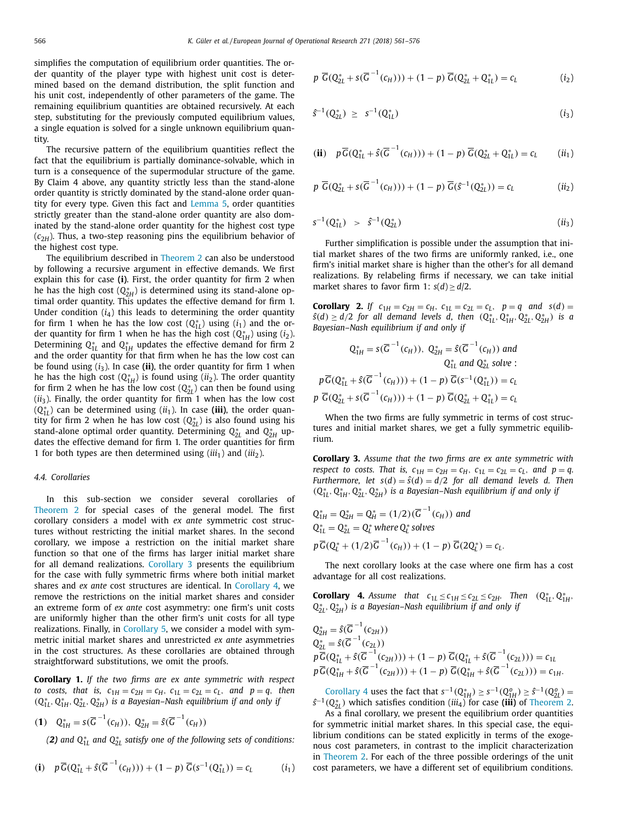<span id="page-5-0"></span>simplifies the computation of equilibrium order quantities. The order quantity of the player type with highest unit cost is determined based on the demand distribution, the split function and his unit cost, independently of other parameters of the game. The remaining equilibrium quantities are obtained recursively. At each step, substituting for the previously computed equilibrium values, a single equation is solved for a single unknown equilibrium quantity.

The recursive pattern of the equilibrium quantities reflect the fact that the equilibrium is partially dominance-solvable, which in turn is a consequence of the supermodular structure of the game. By Claim 4 above, any quantity strictly less than the stand-alone order quantity is strictly dominated by the stand-alone order quantity for every type. Given this fact and [Lemma](#page-4-0) 5, order quantities strictly greater than the stand-alone order quantity are also dominated by the stand-alone order quantity for the highest cost type  $(c_{2H})$ . Thus, a two-step reasoning pins the equilibrium behavior of the highest cost type.

The equilibrium described in [Theorem](#page-4-0) 2 can also be understood by following a recursive argument in effective demands. We first explain this for case **(i)**. First, the order quantity for firm 2 when he has the high cost (*Q*<sup>∗</sup> <sup>2</sup>*H*) is determined using its stand-alone optimal order quantity. This updates the effective demand for firm 1. Under condition  $(i_4)$  this leads to determining the order quantity for firm 1 when he has the low cost  $(Q_{1L}^*)$  using  $(i_1)$  and the order quantity for firm 1 when he has the high cost  $(Q<sub>1H</sub><sup>*</sup>)$  using  $(i<sub>2</sub>)$ . Determining  $Q_{1L}^*$  and  $Q_{1H}^*$  updates the effective demand for firm 2 and the order quantity for that firm when he has the low cost can be found using (*i*3). In case **(ii)**, the order quantity for firm 1 when he has the high cost  $(Q_{1H}^*)$  is found using ( $ii_2$ ). The order quantity for firm 2 when he has the low cost (*Q*<sup>∗</sup> <sup>2</sup>*L*) can then be found using  $(i<sub>i3</sub>)$ . Finally, the order quantity for firm 1 when has the low cost (*Q*<sup>∗</sup> <sup>1</sup>*L*) can be determined using (*ii*1). In case **(iii)**, the order quantity for firm 2 when he has low cost (*Q*<sup>∗</sup> <sup>2</sup>*L*) is also found using his stand-alone optimal order quantity. Determining  $Q_{2L}^*$  and  $Q_{2H}^*$  updates the effective demand for firm 1. The order quantities for firm 1 for both types are then determined using  $(iii<sub>1</sub>)$  and  $(iii<sub>2</sub>)$ .

# *4.4. Corollaries*

In this sub-section we consider several corollaries of [Theorem](#page-4-0) 2 for special cases of the general model. The first corollary considers a model with *ex ante* symmetric cost structures without restricting the initial market shares. In the second corollary, we impose a restriction on the initial market share function so that one of the firms has larger initial market share for all demand realizations. Corollary 3 presents the equilibrium for the case with fully symmetric firms where both initial market shares and *ex ante* cost structures are identical. In Corollary 4, we remove the restrictions on the initial market shares and consider an extreme form of *ex ante* cost asymmetry: one firm's unit costs are uniformly higher than the other firm's unit costs for all type realizations. Finally, in [Corollary](#page-6-0) 5, we consider a model with symmetric initial market shares and unrestricted *ex ante* asymmetries in the cost structures. As these corollaries are obtained through straightforward substitutions, we omit the proofs.

**Corollary 1.** *If the two firms are ex ante symmetric with respect to costs, that is,*  $c_{1H} = c_{2H} = c_H$ ,  $c_{1L} = c_{2L} = c_L$ , *and*  $p = q$ , *then* (*Q*<sup>∗</sup> 1*L*,*Q*<sup>∗</sup> 1*H*,*Q*<sup>∗</sup> 2*L*,*Q*<sup>∗</sup> <sup>2</sup>*<sup>H</sup>* ) *is a Bayesian–Nash equilibrium if and only if*

(1) 
$$
Q_{1H}^* = s(\overline{G}^{-1}(c_H)), Q_{2H}^* = \hat{s}(\overline{G}^{-1}(c_H))
$$

*(2) and Q*<sup>∗</sup> <sup>1</sup>*<sup>L</sup> and <sup>Q</sup>*<sup>∗</sup> <sup>2</sup>*<sup>L</sup> satisfy one of the following sets of conditions:*

(i) 
$$
p\overline{G}(Q_{1L}^* + \hat{s}(\overline{G}^{-1}(c_H))) + (1-p)\overline{G}(s^{-1}(Q_{1L}^*)) = c_L
$$
 (i<sub>1</sub>)

$$
p \ \overline{G}(Q_{2L}^* + s(\overline{G}^{-1}(c_H))) + (1-p) \ \overline{G}(Q_{2L}^* + Q_{1L}^*) = c_L \tag{i_2}
$$

$$
\hat{s}^{-1}(Q_{2L}^*) \geq s^{-1}(Q_{1L}^*) \tag{i_3}
$$

$$
\textbf{(ii)} \quad p \, \overline{G} (Q_{1L}^* + \hat{S} (\overline{G}^{-1} (c_H))) + (1 - p) \, \overline{G} (Q_{2L}^* + Q_{1L}^*) = c_L \qquad (ii_1)
$$

$$
p \ \overline{G}(Q_{2L}^* + s(\overline{G}^{-1}(c_H))) + (1-p) \ \overline{G}(\hat{s}^{-1}(Q_{2L}^*)) = c_L \tag{ii_2}
$$

$$
s^{-1}(Q_{1L}^*) \quad > \quad \hat{s}^{-1}(Q_{2L}^*) \tag{ii_3}
$$

Further simplification is possible under the assumption that initial market shares of the two firms are uniformly ranked, i.e., one firm's initial market share is higher than the other's for all demand realizations. By relabeling firms if necessary, we can take initial market shares to favor firm 1:  $s(d) \ge d/2$ .

**Corollary** 2. If  $c_{1H} = c_{2H} = c_H$ ,  $c_{1L} = c_{2L} = c_L$ ,  $p = q$  and  $s(d) =$ *s*̂(*d*) ≥ *d*/2 *for all demand levels d*, *then*  $(Q_{1L}^*, Q_{1H}^*, Q_{2L}^*, Q_{2H}^*)$  *is a Bayesian–Nash equilibrium if and only if*

$$
Q_{1H}^{*} = s(\overline{G}^{-1}(c_{H})), Q_{2H}^{*} = \hat{s}(\overline{G}^{-1}(c_{H})) \text{ and}
$$
  
\n
$$
Q_{1L}^{*} \text{ and } Q_{2L}^{*} \text{ solve :}
$$
  
\n
$$
p\overline{G}(Q_{1L}^{*} + \hat{s}(\overline{G}^{-1}(c_{H}))) + (1 - p)\overline{G}(s^{-1}(Q_{1L}^{*})) = c_{L}
$$
  
\n
$$
p\overline{G}(Q_{2L}^{*} + s(\overline{G}^{-1}(c_{H}))) + (1 - p)\overline{G}(Q_{2L}^{*} + Q_{1L}^{*}) = c_{L}
$$

When the two firms are fully symmetric in terms of cost structures and initial market shares, we get a fully symmetric equilibrium.

**Corollary 3.** *Assume that the two firms are ex ante symmetric with respect to costs. That is,*  $c_{1H} = c_{2H} = c_H$ ,  $c_{1L} = c_{2L} = c_L$ , *and*  $p = q$ . *Furthermore, let*  $s(d) = \hat{s}(d) = d/2$  *for all demand levels d. Then* (*Q*<sup>∗</sup> 1*L*,*Q*<sup>∗</sup> 1*H*,*Q*<sup>∗</sup> 2*L*,*Q*<sup>∗</sup> <sup>2</sup>*<sup>H</sup>* ) *is a Bayesian–Nash equilibrium if and only if*

$$
Q_{1H}^{*} = Q_{2H}^{*} = Q_{H}^{*} = (1/2)(\overline{G}^{-1}(c_{H})) \text{ and}
$$
  
\n
$$
Q_{1L}^{*} = Q_{2L}^{*} = Q_{L}^{*} \text{ where } Q_{L}^{*} \text{ solves}
$$
  
\n
$$
p\overline{G}(Q_{L}^{*} + (1/2)\overline{G}^{-1}(c_{H})) + (1 - p)\overline{G}(2Q_{L}^{*}) = c_{L}.
$$

The next corollary looks at the case where one firm has a cost advantage for all cost realizations.

**Corollary 4.** Assume that  $c_{1L} \le c_{1H} \le c_{2L} \le c_{2H}$ . Then  $(Q_{1L}^*, Q_{1H}^*,$ *Q*∗ 2*L*,*Q*<sup>∗</sup> <sup>2</sup>*<sup>H</sup>* ) *is a Bayesian–Nash equilibrium if and only if*

$$
Q_{2H}^{*} = \hat{s}(\overline{G}^{-1}(c_{2H}))
$$
  
\n
$$
Q_{2L}^{*} = \hat{s}(\overline{G}^{-1}(c_{2L}))
$$
  
\n
$$
p\overline{G}(Q_{1L}^{*} + \hat{s}(\overline{G}^{-1}(c_{2H}))) + (1-p)\overline{G}(Q_{1L}^{*} + \hat{s}(\overline{G}^{-1}(c_{2L}))) = c_{1L}
$$
  
\n
$$
p\overline{G}(Q_{1H}^{*} + \hat{s}(\overline{G}^{-1}(c_{2H}))) + (1-p)\overline{G}(Q_{1H}^{*} + \hat{s}(\overline{G}^{-1}(c_{2L}))) = c_{1H}.
$$

Corollary 4 uses the fact that  $s^{-1}(Q_{1H}^*) \ge s^{-1}(Q_{1H}^o) \ge \hat{s}^{-1}(Q_{2L}^o) =$ *s*<sup>−1</sup>( $Q_{2L}^*$ ) which satisfies condition (*iii*<sub>4</sub>) for case **(iii)** of [Theorem](#page-4-0) 2.

As a final corollary, we present the equilibrium order quantities for symmetric initial market shares. In this special case, the equilibrium conditions can be stated explicitly in terms of the exogenous cost parameters, in contrast to the implicit characterization in [Theorem](#page-4-0) 2. For each of the three possible orderings of the unit cost parameters, we have a different set of equilibrium conditions.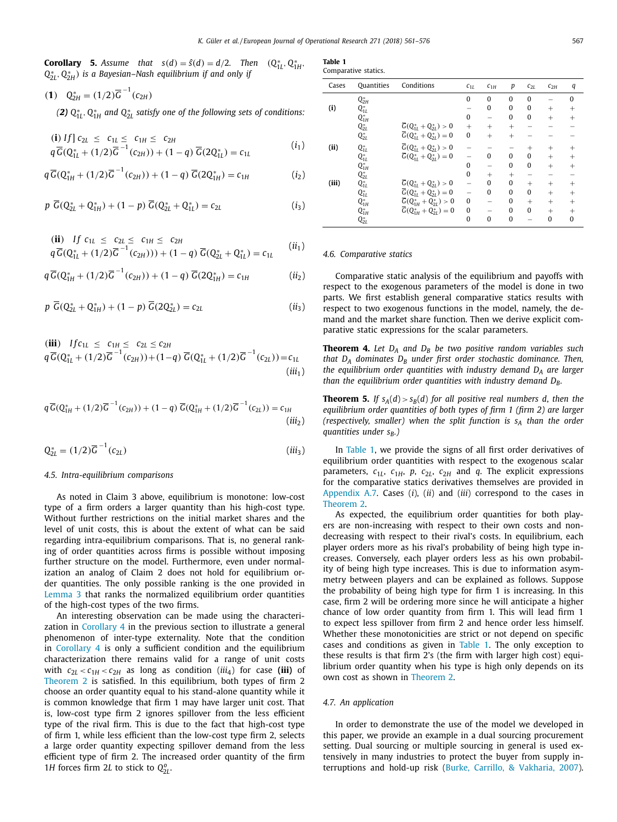<span id="page-6-0"></span>**Corollary 5.** Assume that  $s(d) = \hat{s}(d) = d/2$ . Then  $(Q_{1L}^*, Q_{1H}^*,$ *Q*∗ 2*L*,*Q*<sup>∗</sup> <sup>2</sup>*<sup>H</sup>* ) *is a Bayesian–Nash equilibrium if and only if*

$$
(1) \quad Q_{2H}^* = (1/2)\overline{G}^{-1}(c_{2H})
$$

*(2) Q*<sup>∗</sup> 1*L*,*Q*<sup>∗</sup> <sup>1</sup>*<sup>H</sup> and <sup>Q</sup>*<sup>∗</sup> <sup>2</sup>*<sup>L</sup> satisfy one of the following sets of conditions:*

(i) If 
$$
|c_{2L} \leq c_{1L} \leq c_{1H} \leq c_{2H}
$$
  
\n $q \overline{G}(Q_{1L}^* + (1/2)\overline{G}^{-1}(c_{2H})) + (1-q) \overline{G}(2Q_{1L}^*) = c_{1L}$  (i<sub>1</sub>)

$$
q\,\overline{G}(Q_{1H}^* + (1/2)\overline{G}^{-1}(c_{2H})) + (1-q)\,\overline{G}(2Q_{1H}^*) = c_{1H} \tag{i_2}
$$

$$
p \ \overline{G}(Q_{2L}^* + Q_{1H}^*) + (1 - p) \ \overline{G}(Q_{2L}^* + Q_{1L}^*) = c_{2L} \tag{i_3}
$$

**(ii)** If 
$$
c_{1L} \le c_{2L} \le c_{1H} \le c_{2H}
$$
  
\n $q \overline{G}(Q_{1L}^* + (1/2)\overline{G}^{-1}(c_{2H}))) + (1-q) \overline{G}(Q_{2L}^* + Q_{1L}^*) = c_{1L}$  (ii<sub>1</sub>)

$$
q\,\overline{G}(Q_{1H}^* + (1/2)\overline{G}^{-1}(c_{2H})) + (1-q)\,\overline{G}(2Q_{1H}^*) = c_{1H} \qquad (ii_2)
$$

$$
p \ \overline{G}(Q_{2L}^* + Q_{1H}^*) + (1 - p) \ \overline{G}(2Q_{2L}^*) = c_{2L} \tag{ii_3}
$$

(iii) If 
$$
c_{1L} \le c_{1H} \le c_{2L} \le c_{2H}
$$
  
\n $q \overline{G}(Q_{1L}^* + (1/2)\overline{G}^{-1}(c_{2H})) + (1-q) \overline{G}(Q_{1L}^* + (1/2)\overline{G}^{-1}(c_{2L})) = c_{1L}$   
\n(iii<sub>1</sub>)

$$
q\,\overline{G}(Q_{1H}^* + (1/2)\overline{G}^{-1}(c_{2H})) + (1-q)\,\overline{G}(Q_{1H}^* + (1/2)\overline{G}^{-1}(c_{2L})) = c_{1H}
$$
\n
$$
(iii_2)
$$

$$
Q_{2L}^* = (1/2)\overline{G}^{-1}(c_{2L})
$$
\n<sup>(iii<sub>3</sub>)</sup>

#### *4.5. Intra-equilibrium comparisons*

As noted in Claim 3 above, equilibrium is monotone: low-cost type of a firm orders a larger quantity than his high-cost type. Without further restrictions on the initial market shares and the level of unit costs, this is about the extent of what can be said regarding intra-equilibrium comparisons. That is, no general ranking of order quantities across firms is possible without imposing further structure on the model. Furthermore, even under normalization an analog of Claim 2 does not hold for equilibrium order quantities. The only possible ranking is the one provided in [Lemma](#page-4-0) 3 that ranks the normalized equilibrium order quantities of the high-cost types of the two firms.

An interesting observation can be made using the characterization in [Corollary](#page-5-0) 4 in the previous section to illustrate a general phenomenon of inter-type externality. Note that the condition in [Corollary](#page-5-0) 4 is only a sufficient condition and the equilibrium characterization there remains valid for a range of unit costs with  $c_{2L} < c_{1H} < c_{2H}$  as long as condition (*iii*<sub>4</sub>) for case (*iii*) of [Theorem](#page-4-0) 2 is satisfied. In this equilibrium, both types of firm 2 choose an order quantity equal to his stand-alone quantity while it is common knowledge that firm 1 may have larger unit cost. That is, low-cost type firm 2 ignores spillover from the less efficient type of the rival firm. This is due to the fact that high-cost type of firm 1, while less efficient than the low-cost type firm 2, selects a large order quantity expecting spillover demand from the less efficient type of firm 2. The increased order quantity of the firm 1*H* forces firm 2*L* to stick to *Q<sup>o</sup>* 2*L*.

| Table 1              |  |
|----------------------|--|
| Comparative statics. |  |

| Cases | Quantities | Conditions                              | $c_{1L}$     | $c_{1H}$ | р        | $c_{2L}$ | $c_{2H}$ | q      |
|-------|------------|-----------------------------------------|--------------|----------|----------|----------|----------|--------|
|       | $Q_{2H}^*$ |                                         | 0            | $\bf{0}$ | $\bf{0}$ | $\Omega$ |          | 0      |
| (i)   | $Q_{1L}^*$ |                                         |              | 0        | $\bf{0}$ | 0        | $^{+}$   | $^{+}$ |
|       | $Q_{1H}^*$ |                                         | $\mathbf{0}$ |          | 0        | 0        | $^{+}$   | $^{+}$ |
|       | $Q_{2L}^*$ | $\overline{G}(Q_{1L}^*+Q_{2L}^*)>0$     | $^{+}$       | $^{+}$   | $^{+}$   |          |          |        |
|       | $Q_{2L}^*$ | $\overline{G}(Q_{1L}^* + Q_{2L}^*) = 0$ | $\bf{0}$     | $+$      | $^{+}$   |          |          |        |
| (ii)  | $Q_{1L}^*$ | $\overline{G}(Q_{1L}^* + Q_{2L}^*) > 0$ |              |          |          | $^{+}$   | $^{+}$   | $^{+}$ |
|       | $Q_{1L}^*$ | $\overline{G}(Q_{1L}^* + Q_{2L}^*) = 0$ |              | 0        | 0        | $\Omega$ | $^{+}$   | $^{+}$ |
|       | $Q_{1H}^*$ |                                         | 0            |          | 0        | $\Omega$ | $^{+}$   | $^{+}$ |
|       | $Q_{2L}^*$ |                                         | $\bf{0}$     | $^{+}$   | $^{+}$   |          |          |        |
| (iii) | $Q_{1L}^*$ | $\overline{G}(Q_{1L}^*+Q_{2L}^*)>0$     |              | 0        | 0        | $^{+}$   | $^{+}$   | $+$    |
|       | $Q_{1L}^*$ | $\overline{G}(Q_{1L}^*+Q_{2L}^*)=0$     |              | 0        | $\bf{0}$ | 0        | $^{+}$   | $^{+}$ |
|       | $Q_{1H}^*$ | $\overline{G}(Q_{1H}^* + Q_{2L}^*) > 0$ | 0            |          | $\bf{0}$ | $^{+}$   | $^{+}$   | $^{+}$ |
|       | $Q_{1H}^*$ | $\overline{G}(Q_{1H}^* + Q_{2L}^*) = 0$ | 0            |          | $\bf{0}$ | $\Omega$ | $^{+}$   | $^{+}$ |
|       | $Q_{2L}^*$ |                                         | 0            | $\bf{0}$ | $\bf{0}$ |          | 0        | 0      |

# *4.6. Comparative statics*

Comparative static analysis of the equilibrium and payoffs with respect to the exogenous parameters of the model is done in two parts. We first establish general comparative statics results with respect to two exogenous functions in the model, namely, the demand and the market share function. Then we derive explicit comparative static expressions for the scalar parameters.

**Theorem 4.** Let  $D_A$  and  $D_B$  be two positive random variables such *that*  $D_A$  *dominates*  $D_B$  *under first order stochastic dominance. Then, the equilibrium order quantities with industry demand DA are larger than the equilibrium order quantities with industry demand DB.*

**Theorem 5.** If  $s_A(d) > s_B(d)$  for all positive real numbers *d*, then the *equilibrium order quantities of both types of firm 1 (firm 2) are larger (respectively, smaller) when the split function is sA than the order quantities under s<sub>B</sub>*.)

In Table 1, we provide the signs of all first order derivatives of equilibrium order quantities with respect to the exogenous scalar parameters, *c*1*L*, *c*1*H*, *p*, *c*2*L*, *c*2*<sup>H</sup>* and *q*. The explicit expressions for the comparative statics derivatives themselves are provided in [Appendix](#page-12-0) A.7. Cases (*i*), (*ii*) and (*iii*) correspond to the cases in [Theorem](#page-4-0) 2.

As expected, the equilibrium order quantities for both players are non-increasing with respect to their own costs and nondecreasing with respect to their rival's costs. In equilibrium, each player orders more as his rival's probability of being high type increases. Conversely, each player orders less as his own probability of being high type increases. This is due to information asymmetry between players and can be explained as follows. Suppose the probability of being high type for firm 1 is increasing. In this case, firm 2 will be ordering more since he will anticipate a higher chance of low order quantity from firm 1. This will lead firm 1 to expect less spillover from firm 2 and hence order less himself. Whether these monotonicities are strict or not depend on specific cases and conditions as given in Table 1. The only exception to these results is that firm 2's (the firm with larger high cost) equilibrium order quantity when his type is high only depends on its own cost as shown in [Theorem](#page-4-0) 2.

#### *4.7. An application*

In order to demonstrate the use of the model we developed in this paper, we provide an example in a dual sourcing procurement setting. Dual sourcing or multiple sourcing in general is used extensively in many industries to protect the buyer from supply interruptions and hold-up risk (Burke, Carrillo, & [Vakharia,](#page-15-0) 2007).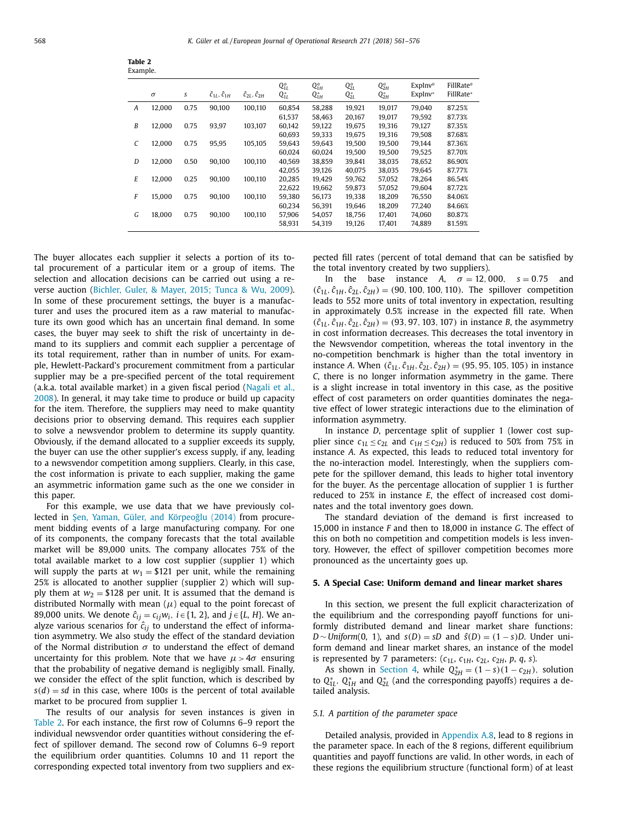<span id="page-7-0"></span>

| Table 2  |  |
|----------|--|
| Example. |  |

|   | $\sigma$ | S    | $\hat{c}_{1L}, \hat{c}_{1H}$ | $\hat{c}_{2L}, \hat{c}_{2H}$ | $\mathsf{Q}^o_{1L}$<br>$\mathrm{Q}^*_{1L}$ | $Q_{1H}^o$<br>$Q_{1H}^*$ | $\mathrm{Q}^o_{2L}$<br>$\mathrm{Q}_{2L}^*$ | $Q_{2H}^o$<br>$Q_{2H}^*$ | ExpInv <sup>o</sup><br>$ExpInv^*$ | FillRate <sup>o</sup><br>FillRate* |
|---|----------|------|------------------------------|------------------------------|--------------------------------------------|--------------------------|--------------------------------------------|--------------------------|-----------------------------------|------------------------------------|
| A | 12,000   | 0.75 | 90,100                       | 100,110                      | 60,854                                     | 58,288                   | 19,921                                     | 19,017                   | 79.040                            | 87.25%                             |
|   |          |      |                              |                              | 61.537                                     | 58.463                   | 20,167                                     | 19,017                   | 79.592                            | 87.73%                             |
| B | 12,000   | 0.75 | 93,97                        | 103,107                      | 60,142                                     | 59,122                   | 19.675                                     | 19.316                   | 79,127                            | 87.35%                             |
|   |          |      |                              |                              | 60.693                                     | 59.333                   | 19.675                                     | 19,316                   | 79,508                            | 87.68%                             |
| C | 12.000   | 0.75 | 95.95                        | 105.105                      | 59.643                                     | 59.643                   | 19.500                                     | 19.500                   | 79.144                            | 87.36%                             |
|   |          |      |                              |                              | 60.024                                     | 60.024                   | 19.500                                     | 19.500                   | 79.525                            | 87.70%                             |
| D | 12.000   | 0.50 | 90.100                       | 100.110                      | 40,569                                     | 38,859                   | 39,841                                     | 38.035                   | 78,652                            | 86.90%                             |
|   |          |      |                              |                              | 42,055                                     | 39,126                   | 40,075                                     | 38,035                   | 79,645                            | 87.77%                             |
| E | 12,000   | 0.25 | 90.100                       | 100.110                      | 20,285                                     | 19,429                   | 59,762                                     | 57,052                   | 78.264                            | 86.54%                             |
|   |          |      |                              |                              | 22,622                                     | 19,662                   | 59.873                                     | 57,052                   | 79.604                            | 87.72%                             |
| F | 15.000   | 0.75 | 90.100                       | 100.110                      | 59.380                                     | 56.173                   | 19.338                                     | 18.209                   | 76.550                            | 84.06%                             |
|   |          |      |                              |                              | 60.234                                     | 56.391                   | 19.646                                     | 18.209                   | 77.240                            | 84.66%                             |
| G | 18,000   | 0.75 | 90.100                       | 100.110                      | 57,906                                     | 54.057                   | 18.756                                     | 17.401                   | 74.060                            | 80.87%                             |
|   |          |      |                              |                              | 58,931                                     | 54,319                   | 19,126                                     | 17,401                   | 74,889                            | 81.59%                             |

The buyer allocates each supplier it selects a portion of its total procurement of a particular item or a group of items. The selection and allocation decisions can be carried out using a reverse auction [\(Bichler,](#page-15-0) Guler, & Mayer, 2015; Tunca & Wu, 2009). In some of these procurement settings, the buyer is a manufacturer and uses the procured item as a raw material to manufacture its own good which has an uncertain final demand. In some cases, the buyer may seek to shift the risk of uncertainty in demand to its suppliers and commit each supplier a percentage of its total requirement, rather than in number of units. For example, Hewlett-Packard's procurement commitment from a particular supplier may be a pre-specified percent of the total requirement (a.k.a. total [available](#page-15-0) market) in a given fiscal period (Nagali et al., 2008). In general, it may take time to produce or build up capacity for the item. Therefore, the suppliers may need to make quantity decisions prior to observing demand. This requires each supplier to solve a newsvendor problem to determine its supply quantity. Obviously, if the demand allocated to a supplier exceeds its supply, the buyer can use the other supplier's excess supply, if any, leading to a newsvendor competition among suppliers. Clearly, in this case, the cost information is private to each supplier, making the game an asymmetric information game such as the one we consider in this paper.

For this example, we use data that we have previously collected in Şen, Yaman, Güler, and Körpeoğlu (2014) from procurement bidding events of a large manufacturing company. For one of its components, the company forecasts that the total available market will be 89,000 units. The company allocates 75% of the total available market to a low cost supplier (supplier 1) which will supply the parts at  $w_1 = $121$  per unit, while the remaining 25% is allocated to another supplier (supplier 2) which will supply them at  $w_2 = $128$  per unit. It is assumed that the demand is distributed Normally with mean  $(\mu)$  equal to the point forecast of 89,000 units. We denote  $\hat{c}_{ij} = c_{ij}w_i$ ,  $i \in \{1, 2\}$ , and  $j \in \{L, H\}$ . We analyze various scenarios for  $\hat{c}_{ij}$  to understand the effect of information asymmetry. We also study the effect of the standard deviation of the Normal distribution  $\sigma$  to understand the effect of demand uncertainty for this problem. Note that we have  $\mu > 4\sigma$  ensuring that the probability of negative demand is negligibly small. Finally, we consider the effect of the split function, which is described by  $s(d) = sd$  in this case, where 100*s* is the percent of total available market to be procured from supplier 1.

The results of our analysis for seven instances is given in Table 2. For each instance, the first row of Columns 6–9 report the individual newsvendor order quantities without considering the effect of spillover demand. The second row of Columns 6–9 report the equilibrium order quantities. Columns 10 and 11 report the corresponding expected total inventory from two suppliers and expected fill rates (percent of total demand that can be satisfied by the total inventory created by two suppliers).

In the base instance *A*,  $\sigma = 12,000$ ,  $s = 0.75$  and  $(\hat{c}_{1L}, \hat{c}_{1H}, \hat{c}_{2L}, \hat{c}_{2H}) = (90, 100, 100, 110)$ . The spillover competition leads to 552 more units of total inventory in expectation, resulting in approximately 0.5% increase in the expected fill rate. When  $(\hat{c}_{1L}, \hat{c}_{1H}, \hat{c}_{2L}, \hat{c}_{2H}) = (93, 97, 103, 107)$  in instance *B*, the asymmetry in cost information decreases. This decreases the total inventory in the Newsvendor competition, whereas the total inventory in the no-competition benchmark is higher than the total inventory in instance *A*. When  $(\hat{c}_{1L}, \hat{c}_{1H}, \hat{c}_{2L}, \hat{c}_{2H}) = (95, 95, 105, 105)$  in instance *C*, there is no longer information asymmetry in the game. There is a slight increase in total inventory in this case, as the positive effect of cost parameters on order quantities dominates the negative effect of lower strategic interactions due to the elimination of information asymmetry.

In instance *D*, percentage split of supplier 1 (lower cost supplier since  $c_{1L} \le c_{2L}$  and  $c_{1H} \le c_{2H}$ ) is reduced to 50% from 75% in instance *A*. As expected, this leads to reduced total inventory for the no-interaction model. Interestingly, when the suppliers compete for the spillover demand, this leads to higher total inventory for the buyer. As the percentage allocation of supplier 1 is further reduced to 25% in instance *E*, the effect of increased cost dominates and the total inventory goes down.

The standard deviation of the demand is first increased to 15,000 in instance *F* and then to 18,000 in instance *G*. The effect of this on both no competition and competition models is less inventory. However, the effect of spillover competition becomes more pronounced as the uncertainty goes up.

#### **5. A Special Case: Uniform demand and linear market shares**

In this section, we present the full explicit characterization of the equilibrium and the corresponding payoff functions for uniformly distributed demand and linear market share functions: *D* ∼ *Uniform*(0, 1), and  $s(D) = sD$  and  $\hat{s}(D) = (1 - s)D$ . Under uniform demand and linear market shares, an instance of the model is represented by 7 parameters:  $(c_{1L}, c_{1H}, c_{2L}, c_{2H}, p, q, s)$ .

As shown in [Section](#page-3-0) 4, while  $Q_{2H}^* = (1 - s)(1 - c_{2H})$ , solution to  $Q_{1L}^*$ ,  $Q_{1H}^*$  and  $Q_{2L}^*$  (and the corresponding payoffs) requires a detailed analysis.

# *5.1. A partition of the parameter space*

Detailed analysis, provided in [Appendix](#page-12-0) A.8, lead to 8 regions in the parameter space. In each of the 8 regions, different equilibrium quantities and payoff functions are valid. In other words, in each of these regions the equilibrium structure (functional form) of at least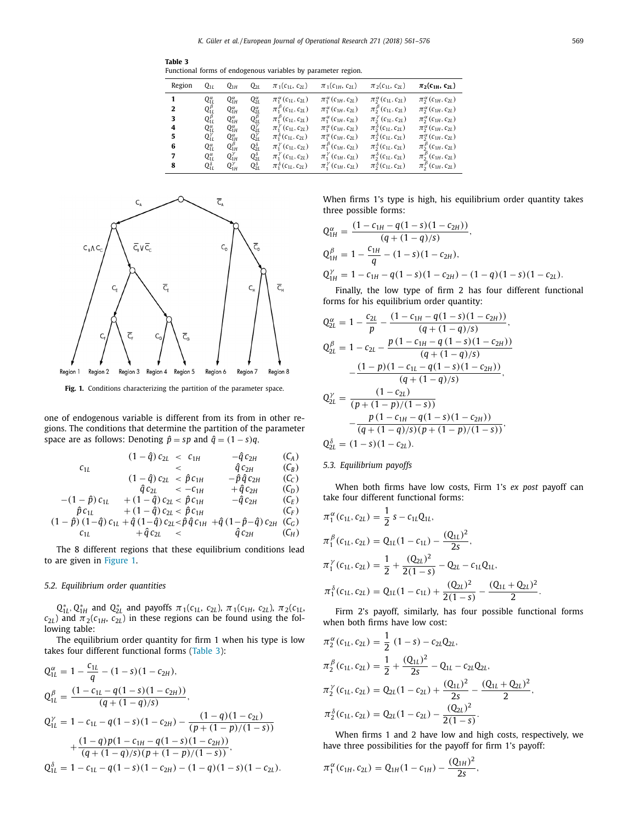Functional forms of endogenous variables by parameter region.

| Region | $Q_{1L}$                                                | $Q_{1H}$          | $Q_{2L}$          | $\pi_1(c_{1L}, c_{2L})$          | $\pi_1(c_{1H}, c_{2L})$                               | $\pi_2(c_{1L}, c_{2L})$          | $\pi_2(c_{1H}, c_{2L})$          |
|--------|---------------------------------------------------------|-------------------|-------------------|----------------------------------|-------------------------------------------------------|----------------------------------|----------------------------------|
| 1      | $Q_{1L}^{\alpha}$                                       | $Q_{1H}^{\alpha}$ | $Q_{2I}^{\alpha}$ | $\pi_1^{\alpha}(c_{1L}, c_{2L})$ | $\pi_1^{\alpha}(c_{1H}, c_{2L})$                      | $\pi_2^{\alpha}(c_{1L}, c_{2L})$ | $\pi_2^{\alpha}(c_{1H}, c_{2L})$ |
| 2      |                                                         | $Q_{1H}^{\alpha}$ | $Q^{\alpha}_{2L}$ | $\pi_1^{\beta}(c_{1L}, c_{2L})$  | $\pi_1^{\alpha}(c_{1H}, c_{2L})$                      | $\pi_2^P(c_{1L}, c_{2L})$        | $\pi_2^{\alpha}(c_{1H}, c_{2L})$ |
| 3      | $\frac{\mathsf Q_{1L}^{\beta}}{\mathsf Q_{1L}^{\beta}}$ | $Q_{1H}^{\alpha}$ | $Q_{2L}^{\beta}$  | $\pi_1^{\beta}(c_{1L}, c_{2L})$  | $\pi_1^{\alpha}(c_{1H}, c_{2L})$                      | $\pi_2^{\gamma}(c_{1L}, c_{2L})$ | $\pi_2^{\alpha}(c_{1H}, c_{2L})$ |
| 4      | $Q^{\alpha}_{1L}$                                       | $Q_{1H}^{\alpha}$ | $Q_{2L}^{\gamma}$ | $\pi_1^{\gamma}(c_{1L}, c_{2L})$ | $\pi_1^{\alpha}$ (C <sub>1H</sub> , C <sub>2L</sub> ) | $\pi_2^{\delta}(c_{1L}, c_{2L})$ | $\pi_2^{\alpha}(c_{1H}, c_{2L})$ |
| 5      | $Q_{1L}^Y$                                              | $Q_{1H}^{\alpha}$ | $Q_{2L}^Y$        | $\pi_1^{\delta}(c_{1L}, c_{2L})$ | $\pi_1^{\alpha}(c_{1H}, c_{2L})$                      | $\pi_2^{\delta}(c_{1L}, c_{2L})$ | $\pi_2^{\alpha}(c_{1H}, c_{2L})$ |
| 6      | $Q_{1L}^{\alpha}$                                       | $Q_{1H}^{\beta}$  | $Q_{2L}^{\delta}$ | $\pi_1^{\gamma}(c_{1L}, c_{2L})$ | $\pi_1^P(c_{1H}, c_{2L})$                             | $\pi_2^{\delta}(c_{1L}, c_{2L})$ | $\pi_2^{\,\beta}(c_{1H},c_{2L})$ |
| 7      | $Q_{1L}^{\alpha}$                                       | $Q_{1H}^Y$        | $Q_{2L}^{\delta}$ | $\pi_1^{\gamma}(c_{1L}, c_{2L})$ | $\pi_1^{\gamma}$ (C <sub>1H</sub> , C <sub>2L</sub> ) | $\pi_2^{\delta}(c_{1L}, c_{2L})$ | $\pi_2^P(c_{1H}, c_{2L})$        |
| 8      | $Q_{1L}^{\delta}$                                       | $Q^{\gamma}_{1H}$ | $Q_{2L}^{\delta}$ | $\pi_1^{\delta}(c_{1L}, c_{2L})$ | $\pi_1^{\gamma}(c_{1H}, c_{2L})$                      | $\pi_2^{\delta}(c_{1L}, c_{2L})$ | $\pi_2^{\,\beta}(c_{1H},c_{2L})$ |



<span id="page-8-0"></span>**Table 3**

Fig. 1. Conditions characterizing the partition of the parameter space.

one of endogenous variable is different from its from in other regions. The conditions that determine the partition of the parameter space are as follows: Denoting  $\hat{p} = sp$  and  $\hat{q} = (1 - s)q$ ,

$$
(1 - \hat{q}) c_{2L} < c_{1H} \qquad -\hat{q} c_{2H} \qquad (C_A) \\
\hspace{1cm} c_{1L} < \hat{q} c_{2H} \qquad (C_B) \\
\hspace{1cm} (1 - \hat{q}) c_{2L} < \hat{p} c_{1H} \qquad -\hat{p} \hat{q} c_{2H} \qquad (C_C) \\
\hspace{1cm} \hat{q} c_{2L} < -c_{1H} \qquad +\hat{q} c_{2H} \qquad (C_D) \\
\hspace{1cm} - (1 - \hat{p}) c_{1L} \qquad + (1 - \hat{q}) c_{2L} < \hat{p} c_{1H} \qquad -\hat{q} c_{2H} \qquad (C_E) \\
\hspace{1cm} \hat{p} c_{1L} \qquad + (1 - \hat{q}) c_{2L} < \hat{p} c_{1H} \qquad (C_F) \\
\hspace{1cm} (1 - \hat{p}) (1 - \hat{q}) c_{1L} + \hat{q} (1 - \hat{q}) c_{2L} < \hat{p} \hat{q} c_{1H} \qquad + \hat{q} (1 - \hat{p} - \hat{q}) c_{2H} \qquad (C_G) \\
\hspace{1cm} c_{1L} \qquad + \hat{q} c_{2L} < \qquad \hat{q} c_{2H} \qquad (C_H) \\
\hspace{1cm}
$$

The 8 different regions that these equilibrium conditions lead to are given in Figure 1.

#### *5.2. Equilibrium order quantities*

 $Q_{1L}^*$ ,  $Q_{1H}^*$  and  $Q_{2L}^*$  and payoffs  $\pi_1(c_{1L}, c_{2L})$ ,  $\pi_1(c_{1H}, c_{2L})$ ,  $\pi_2(c_{1L}, c_{2L})$  $c_{2L}$ ) and  $\pi_2(c_{1H}, c_{2L})$  in these regions can be found using the following table:

The equilibrium order quantity for firm 1 when his type is low takes four different functional forms (Table 3):

$$
Q_{1L}^{\alpha} = 1 - \frac{c_{1L}}{q} - (1 - s)(1 - c_{2H}),
$$
  
\n
$$
Q_{1L}^{\beta} = \frac{(1 - c_{1L} - q(1 - s)(1 - c_{2H}))}{(q + (1 - q)/s)},
$$
  
\n
$$
Q_{1L}^{\gamma} = 1 - c_{1L} - q(1 - s)(1 - c_{2H}) - \frac{(1 - q)(1 - c_{2L})}{(p + (1 - p)/(1 - s))} + \frac{(1 - q)p(1 - c_{1H} - q(1 - s)(1 - c_{2H}))}{(q + (1 - q)/s)(p + (1 - p)/(1 - s))},
$$
  
\n
$$
Q_{1L}^{\delta} = 1 - c_{1L} - q(1 - s)(1 - c_{2H}) - (1 - q)(1 - s)(1 - c_{2L}).
$$

When firms 1's type is high, his equilibrium order quantity takes three possible forms:

$$
Q_{1H}^{\alpha} = \frac{(1 - c_{1H} - q(1 - s)(1 - c_{2H}))}{(q + (1 - q)/s)},
$$
  
\n
$$
Q_{1H}^{\beta} = 1 - \frac{c_{1H}}{q} - (1 - s)(1 - c_{2H}),
$$
  
\n
$$
Q_{1H}^{\gamma} = 1 - c_{1H} - q(1 - s)(1 - c_{2H}) - (1 - q)(1 - s)(1 - c_{2L}).
$$

Finally, the low type of firm 2 has four different functional forms for his equilibrium order quantity:

$$
Q_{2L}^{\alpha} = 1 - \frac{c_{2L}}{p} - \frac{(1 - c_{1H} - q(1 - s)(1 - c_{2H}))}{(q + (1 - q)/s)},
$$
  
\n
$$
Q_{2L}^{\beta} = 1 - c_{2L} - \frac{p(1 - c_{1H} - q(1 - s)(1 - c_{2H}))}{(q + (1 - q)/s)} - \frac{(1 - p)(1 - c_{1L} - q(1 - s)(1 - c_{2H}))}{(q + (1 - q)/s)},
$$
  
\n
$$
Q_{2L}^{\gamma} = \frac{(1 - c_{2L})}{(p + (1 - p)/(1 - s))} - \frac{p(1 - c_{1H} - q(1 - s)(1 - c_{2H}))}{(q + (1 - q)/s)(p + (1 - p)/(1 - s))},
$$
  
\n
$$
Q_{2L}^{\delta} = (1 - s)(1 - c_{2L}).
$$

#### *5.3. Equilibrium payoffs*

When both firms have low costs, Firm 1's *ex post* payoff can take four different functional forms:

$$
\pi_1^{\alpha}(c_{1L}, c_{2L}) = \frac{1}{2} s - c_{1L} Q_{1L},
$$
\n
$$
\pi_1^{\beta}(c_{1L}, c_{2L}) = Q_{1L}(1 - c_{1L}) - \frac{(Q_{1L})^2}{2s},
$$
\n
$$
\pi_1^{\gamma}(c_{1L}, c_{2L}) = \frac{1}{2} + \frac{(Q_{2L})^2}{2(1-s)} - Q_{2L} - c_{1L} Q_{1L},
$$
\n
$$
\pi_1^{\delta}(c_{1L}, c_{2L}) = Q_{1L}(1 - c_{1L}) + \frac{(Q_{2L})^2}{2(1-s)} - \frac{(Q_{1L} + Q_{2L})^2}{2}.
$$

Firm 2's payoff, similarly, has four possible functional forms when both firms have low cost:

$$
\pi_2^{\alpha}(c_{1L}, c_{2L}) = \frac{1}{2} (1 - s) - c_{2L} Q_{2L},
$$
  
\n
$$
\pi_2^{\beta}(c_{1L}, c_{2L}) = \frac{1}{2} + \frac{(Q_{1L})^2}{2s} - Q_{1L} - c_{2L} Q_{2L},
$$
  
\n
$$
\pi_2^{\gamma}(c_{1L}, c_{2L}) = Q_{2L} (1 - c_{2L}) + \frac{(Q_{1L})^2}{2s} - \frac{(Q_{1L} + Q_{2L})^2}{2},
$$
  
\n
$$
\pi_2^{\delta}(c_{1L}, c_{2L}) = Q_{2L} (1 - c_{2L}) - \frac{(Q_{2L})^2}{2(1 - s)}.
$$

When firms 1 and 2 have low and high costs, respectively, we have three possibilities for the payoff for firm 1's payoff:

$$
\pi_1^{\alpha}(c_{1H},c_{2L})=Q_{1H}(1-c_{1H})-\frac{(Q_{1H})^2}{2s},
$$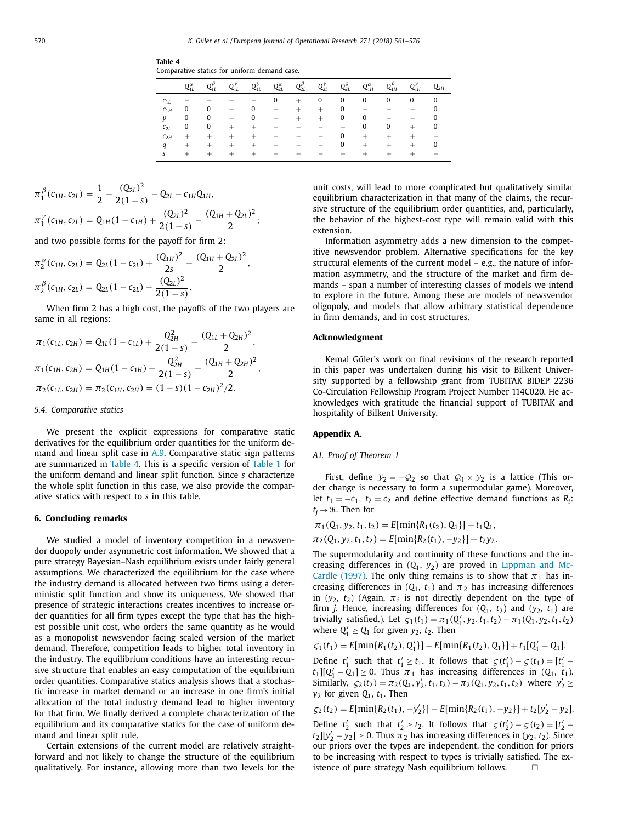<span id="page-9-0"></span>**Table 4** Comparative statics for uniform demand case.

|                 | $Q_{1L}^{\alpha}$ | $Q_{1L}^{\beta}$ | $Q_{1L}^{\gamma}$        | $Q_{1L}^{\delta}$ | $Q^{\alpha}_{2L}$ | $\mathrm{Q}^\beta_{2L}$ | $Q^{\gamma}_{2L}$ | $\mathrm{Q}^{\delta}_{2L}$ | $Q^{\alpha}_{1H}$ | $Q_{1H}^{\beta}$ | $Q_{1H}^{\gamma}$ | $Q_{2H}$ |
|-----------------|-------------------|------------------|--------------------------|-------------------|-------------------|-------------------------|-------------------|----------------------------|-------------------|------------------|-------------------|----------|
| $c_{1L}$        |                   |                  |                          |                   | 0                 | $^{+}$                  | 0                 | 0                          | 0                 | 0                | $\Omega$          | $\Omega$ |
| C <sub>1H</sub> | 0                 | 0                | $\overline{\phantom{m}}$ | 0                 | $^{+}$            | $^{+}$                  | $^{+}$            | 0                          |                   |                  |                   | 0        |
| p               | 0                 | 0                | $\qquad \qquad -$        | 0                 | $^{+}$            | $^{+}$                  | $^{+}$            | 0                          | 0                 |                  |                   | 0        |
| $c_{2L}$        | 0                 | 0                | $^{+}$                   | $+$               |                   |                         |                   |                            | 0                 | 0                | $^{+}$            | $\bf{0}$ |
| $c_{2H}$        | $^{+}$            |                  | $^{+}$                   | $\pm$             |                   |                         |                   | 0                          | $^{+}$            | $^{+}$           | $^{+}$            |          |
| a               | $^{+}$            |                  | $^{+}$                   | $^+$              |                   |                         |                   | 0                          | $^{+}$            | $^{+}$           |                   | $\Omega$ |
| S               | $^{+}$            |                  |                          | $^{+}$            |                   |                         |                   |                            |                   |                  |                   |          |

$$
\pi_1^{\beta}(c_{1H}, c_{2L}) = \frac{1}{2} + \frac{(Q_{2L})^2}{2(1-s)} - Q_{2L} - c_{1H}Q_{1H},
$$
  

$$
\pi_1^{\gamma}(c_{1H}, c_{2L}) = Q_{1H}(1 - c_{1H}) + \frac{(Q_{2L})^2}{2(1-s)} - \frac{(Q_{1H} + Q_{2L})^2}{2};
$$

and two possible forms for the payoff for firm 2:

$$
\pi_2^{\alpha}(c_{1H}, c_{2L}) = Q_{2L}(1 - c_{2L}) + \frac{(Q_{1H})^2}{2s} - \frac{(Q_{1H} + Q_{2L})^2}{2},
$$
  

$$
\pi_2^{\beta}(c_{1H}, c_{2L}) = Q_{2L}(1 - c_{2L}) - \frac{(Q_{2L})^2}{2(1 - s)}.
$$

When firm 2 has a high cost, the payoffs of the two players are same in all regions:

$$
\pi_1(c_{1L}, c_{2H}) = Q_{1L}(1 - c_{1L}) + \frac{Q_{2H}^2}{2(1 - s)} - \frac{(Q_{1L} + Q_{2H})^2}{2},
$$
  

$$
\pi_1(c_{1H}, c_{2H}) = Q_{1H}(1 - c_{1H}) + \frac{Q_{2H}^2}{2(1 - s)} - \frac{(Q_{1H} + Q_{2H})^2}{2},
$$
  

$$
\pi_2(c_{1L}, c_{2H}) = \pi_2(c_{1H}, c_{2H}) = (1 - s)(1 - c_{2H})^2/2.
$$

#### *5.4. Comparative statics*

We present the explicit expressions for comparative static derivatives for the equilibrium order quantities for the uniform demand and linear split case in [A.9.](#page-14-0) Comparative static sign patterns are summarized in Table 4. This is a specific version of [Table](#page-6-0) 1 for the uniform demand and linear split function. Since *s* characterize the whole split function in this case, we also provide the comparative statics with respect to *s* in this table.

#### **6. Concluding remarks**

We studied a model of inventory competition in a newsvendor duopoly under asymmetric cost information. We showed that a pure strategy Bayesian–Nash equilibrium exists under fairly general assumptions. We characterized the equilibrium for the case where the industry demand is allocated between two firms using a deterministic split function and show its uniqueness. We showed that presence of strategic interactions creates incentives to increase order quantities for all firm types except the type that has the highest possible unit cost, who orders the same quantity as he would as a monopolist newsvendor facing scaled version of the market demand. Therefore, competition leads to higher total inventory in the industry. The equilibrium conditions have an interesting recursive structure that enables an easy computation of the equilibrium order quantities. Comparative statics analysis shows that a stochastic increase in market demand or an increase in one firm's initial allocation of the total industry demand lead to higher inventory for that firm. We finally derived a complete characterization of the equilibrium and its comparative statics for the case of uniform demand and linear split rule.

Certain extensions of the current model are relatively straightforward and not likely to change the structure of the equilibrium qualitatively. For instance, allowing more than two levels for the unit costs, will lead to more complicated but qualitatively similar equilibrium characterization in that many of the claims, the recursive structure of the equilibrium order quantities, and, particularly, the behavior of the highest-cost type will remain valid with this extension.

Information asymmetry adds a new dimension to the competitive newsvendor problem. Alternative specifications for the key structural elements of the current model – e.g., the nature of information asymmetry, and the structure of the market and firm demands – span a number of interesting classes of models we intend to explore in the future. Among these are models of newsvendor oligopoly, and models that allow arbitrary statistical dependence in firm demands, and in cost structures.

# **Acknowledgment**

Kemal Güler's work on final revisions of the research reported in this paper was undertaken during his visit to Bilkent University supported by a fellowship grant from TUBITAK BIDEP 2236 Co-Circulation Fellowship Program Project Number 114C020. He acknowledges with gratitude the financial support of TUBITAK and hospitality of Bilkent University.

#### **Appendix A.**

#### *A1. Proof of Theorem 1*

First, define  $\mathcal{Y}_2 = -\mathcal{Q}_2$  so that  $\mathcal{Q}_1 \times \mathcal{Y}_2$  is a lattice (This order change is necessary to form a supermodular game). Moreover, let  $t_1 = -c_1$ ,  $t_2 = c_2$  and define effective demand functions as  $R_i$ :  $t_i \rightarrow \Re$ . Then for

$$
\pi_1(Q_1, y_2, t_1, t_2) = E[\min\{R_1(t_2), Q_1\}] + t_1 Q_1,
$$

 $\pi_2(Q_1, y_2, t_1, t_2) = E[\min\{R_2(t_1), -y_2\}] + t_2y_2.$ 

The supermodularity and continuity of these functions and the increasing [differences](#page-15-0) in  $(Q_1, y_2)$  are proved in Lippman and Mc-Cardle (1997). The only thing remains is to show that  $\pi_1$  has increasing differences in  $(Q_1, t_1)$  and  $\pi_2$  has increasing differences in ( $y_2$ ,  $t_2$ ) (Again,  $\pi_i$  is not directly dependent on the type of firm *j*. Hence, increasing differences for  $(Q_1, t_2)$  and  $(y_2, t_1)$  are trivially satisfied.). Let  $\zeta_1(t_1) = \pi_1(Q'_1, y_2, t_1, t_2) - \pi_1(Q_1, y_2, t_1, t_2)$ where  $Q'_1 \geq Q_1$  for given  $y_2$ ,  $t_2$ . Then

$$
\varsigma_1(t_1) = E[\min\{R_1(t_2), Q_1'\}] - E[\min\{R_1(t_2), Q_1\}] + t_1[Q_1' - Q_1].
$$

Define  $t'_1$  such that  $t'_1 \ge t_1$ . It follows that  $\varsigma(t'_1) - \varsigma(t_1) = [t'_1 - \varsigma(t'_1)]$  $t_1$ ][ $Q'_1 - Q_1$ ] ≥ 0. Thus  $\pi_1$  has increasing differences in  $(Q_1, t_1)$ . Similarly,  $\zeta_2(t_2) = \pi_2(Q_1, y'_2, t_1, t_2) - \pi_2(Q_1, y_2, t_1, t_2)$  where  $y'_2 \ge$  $y_2$  for given  $Q_1$ ,  $t_1$ . Then

$$
\varsigma_2(t_2) = E[\min\{R_2(t_1), -y'_2\}] - E[\min\{R_2(t_1), -y_2\}] + t_2[y'_2 - y_2].
$$

Define  $t'_2$  such that  $t'_2 \ge t_2$ . It follows that  $\varsigma(t'_2) - \varsigma(t_2) = [t'_2 - \varsigma(t'_1)]$  $t_2$ [*y*<sup>'</sup><sub>2</sub> − *y*<sub>2</sub>] ≥ 0. Thus  $\pi$ <sup>2</sup><sub>2</sub> has increasing differences in (*y*<sub>2</sub>, *t*<sub>2</sub>). Since our priors over the types are independent, the condition for priors to be increasing with respect to types is trivially satisfied. The existence of pure strategy Nash equilibrium follows.  $\Box$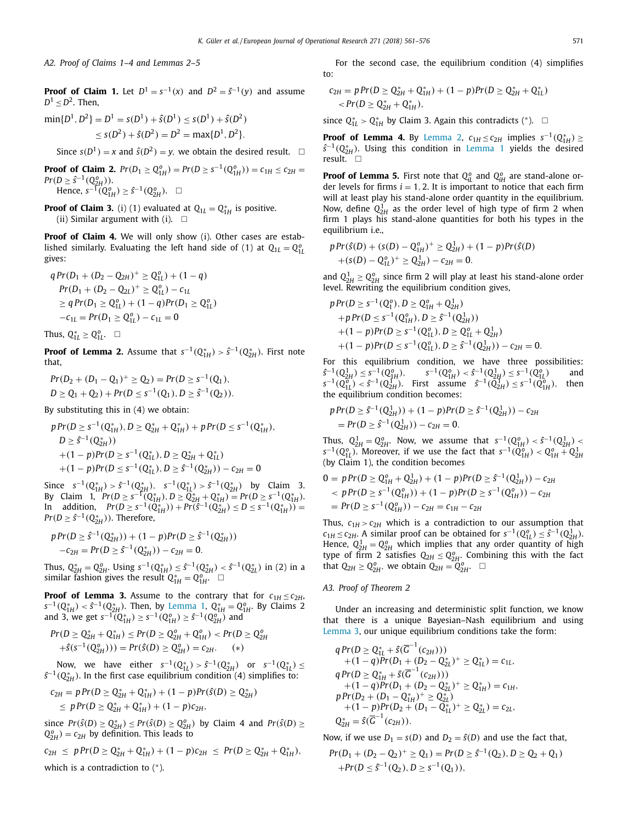*A2. Proof of Claims 1–4 and Lemmas 2–5*

**Proof of Claim 1.** Let  $D^1 = s^{-1}(x)$  and  $D^2 = \hat{s}^{-1}(y)$  and assume  $D^1 < D^2$ . Then,

$$
\min\{D^1, D^2\} = D^1 = s(D^1) + \hat{s}(D^1) \le s(D^1) + \hat{s}(D^2)
$$
  
 
$$
\le s(D^2) + \hat{s}(D^2) = D^2 = \max\{D^1, D^2\}.
$$

Since  $s(D^1) = x$  and  $\hat{s}(D^2) = y$ , we obtain the desired result.  $\Box$ 

**Proof of Claim 2.** 
$$
Pr(D_1 \ge Q_{1H}^o) = Pr(D \ge s^{-1}(Q_{1H}^o)) = c_{1H} \le c_{2H} = Pr(D \ge \hat{s}^{-1}(Q_{2H}^o)).
$$
  
\nHence,  $s^{-1}(Q_{1H}^o) \ge \hat{s}^{-1}(Q_{2H}^o)$ .  $\square$ 

**Proof of Claim 3.** (i) (1) evaluated at  $Q_{1L} = Q_{1H}^*$  is positive. (ii) Similar argument with (i).  $\Box$ 

**Proof of Claim 4.** We will only show (i). Other cases are established similarly. Evaluating the left hand side of (1) at  $Q_{1L} = Q_{1L}^o$ gives:

$$
q Pr(D_1 + (D_2 - Q_{2H})^+ \geq Q_{1L}^o) + (1 - q)
$$
  
\n
$$
Pr(D_1 + (D_2 - Q_{2L})^+ \geq Q_{1L}^o) - c_{1L}
$$
  
\n
$$
\geq q Pr(D_1 \geq Q_{1L}^o) + (1 - q) Pr(D_1 \geq Q_{1L}^o)
$$
  
\n
$$
-c_{1L} = Pr(D_1 \geq Q_{1L}^o) - c_{1L} = 0
$$

Thus,  $Q_{1L}^*$  ≥  $Q_{1L}^o$ . □

**Proof of Lemma 2.** Assume that  $s^{-1}(Q_{1H}^{*}) > \hat{s}^{-1}(Q_{2H}^{*})$ . First note that,

$$
Pr(D_2 + (D_1 - Q_1)^{+} \ge Q_2) = Pr(D \ge s^{-1}(Q_1),
$$
  

$$
D \ge Q_1 + Q_2) + Pr(D \le s^{-1}(Q_1), D \ge \hat{s}^{-1}(Q_2)).
$$

By substituting this in (4) we obtain:

$$
p Pr(D \ge s^{-1}(Q_{1H}^*), D \ge Q_{2H}^* + Q_{1H}^* ) + p Pr(D \le s^{-1}(Q_{1H}^*),
$$
  
\n
$$
D \ge \hat{s}^{-1}(Q_{2H}^*) )
$$
  
\n
$$
+ (1-p)Pr(D \ge s^{-1}(Q_{1L}^*), D \ge Q_{2H}^* + Q_{1L}^* )
$$
  
\n
$$
+ (1-p)Pr(D \le s^{-1}(Q_{1L}^*), D \ge \hat{s}^{-1}(Q_{2H}^*)) - c_{2H} = 0
$$

Since  $s^{-1}(Q_{1H}^*) > \hat{s}^{-1}(Q_{2H}^*)$ ,  $s^{-1}(Q_{1L}^*) > \hat{s}^{-1}(Q_{2H}^*)$  by Claim 3. By Claim 1,  $Pr(D \ge s^{-1}(Q_{1H}^*))$ ,  $D \ge Q_{2H}^* + Q_{1H}^*$ ,  $= Pr(D \ge s^{-1}(Q_{1H}^*)$ . In addition,  $Pr(D \ge s^{-1}(\ddot{Q}_{1H}^*)) + Pr(\dot{S}^{-1}(Q_{2H}^*)) \le D \le s^{-1}(Q_{1H}^*)$  $Pr(D \geq \hat{s}^{-1}(Q_{2H}^*))$ . Therefore,

$$
p Pr(D \geq \hat{s}^{-1}(Q_{2H}^*) + (1-p)Pr(D \geq \hat{s}^{-1}(Q_{2H}^*)) -c_{2H} = Pr(D \geq \hat{s}^{-1}(Q_{2H}^*)) -c_{2H} = 0.
$$

Thus,  $Q_{2H}^* = Q_{2H}^0$ . Using  $s^{-1}(Q_{1H}^*) \leq \hat{s}^{-1}(Q_{2H}^*) < \hat{s}^{-1}(Q_{2L}^*)$  in (2) in a similar fashion gives the result  $Q_{1H}^* = Q_{1H}^0$ . □

**Proof of Lemma 3.** Assume to the contrary that for  $c_{1H} \le c_{2H}$ ,  $s^{-1}(Q_{1H}^*) < \hat{s}^{-1}(Q_{2H}^*)$ . Then, by [Lemma](#page-3-0) 1,  $Q_{1H}^* = Q_{1H}^0$ . By Claims 2 and 3, we get  $s^{-1}(Q_{1H}^*) \ge s^{-1}(Q_{1H}^0) \ge \hat{s}^{-1}(Q_{2H}^0)$  and

$$
Pr(D \ge Q_{2H}^* + Q_{1H}^*) \le Pr(D \ge Q_{2H}^0 + Q_{1H}^0) < Pr(D \ge Q_{2H}^0 + \hat{s}(s^{-1}(Q_{2H}^0))) = Pr(\hat{s}(D) \ge Q_{2H}^0) = c_{2H}. (*)
$$

Now, we have either  $s^{-1}(Q_{1L}^*) > \hat{s}^{-1}(Q_{2H}^*)$  or  $s^{-1}(Q_{1L}^*) \le$ *s*<sup>−1</sup>( $Q_{2H}^*$ ). In the first case equilibrium condition (4) simplifies to:

$$
c_{2H} = p Pr(D \ge Q_{2H}^* + Q_{1H}^*) + (1 - p)Pr(\hat{S}(D) \ge Q_{2H}^*)
$$
  
\n
$$
\le p Pr(D \ge Q_{2H}^* + Q_{1H}^*) + (1 - p)c_{2H},
$$

 $\text{since } Pr(\hat{S}(D) \ge Q^*_{2H}) \le Pr(\hat{S}(D) \ge Q^0_{2H})$  by Claim 4 and  $Pr(\hat{S}(D) \ge$  $Q_{2H}^{\circ}$ ) =  $c_{2H}$  by definition. This leads to

$$
c_{2H} \le pPr(D \ge Q_{2H}^* + Q_{1H}^*) + (1 - p)c_{2H} \le Pr(D \ge Q_{2H}^* + Q_{1H}^*),
$$
  
which is a contradiction to (\*).

For the second case, the equilibrium condition (4) simplifies to:

$$
c_{2H} = p Pr(D \ge Q_{2H}^* + Q_{1H}^*) + (1 - p)Pr(D \ge Q_{2H}^* + Q_{1L}^*)
$$
  

$$
< Pr(D \ge Q_{2H}^* + Q_{1H}^*),
$$

since  $Q_{1L}^* > Q_{1H}^*$  by Claim 3. Again this contradicts (\*).  $□$ 

**Proof of [Lemma](#page-4-0) 4.** By Lemma 2,  $c_{1H} \leq c_{2H}$  implies  $s^{-1}(Q_{1H}^*) \geq$ *s*<sup>−1</sup>(*Q*<sub>2</sub><sup>*H*</sup>). Using this condition in [Lemma](#page-3-0) 1 yields the desired result.  $\square$ 

**Proof of Lemma 5.** First note that  $Q_{iL}^o$  and  $Q_{iH}^o$  are stand-alone order levels for firms  $i = 1, 2$ . It is important to notice that each firm will at least play his stand-alone order quantity in the equilibrium. Now, define  $Q_{2H}^1$  as the order level of high type of firm 2 when firm 1 plays his stand-alone quantities for both his types in the equilibrium i.e.,

$$
pPr(\hat{S}(D) + (s(D) - Q_{1H}^o)^+ \geq Q_{2H}^1) + (1 - p)Pr(\hat{S}(D) + (s(D) - Q_{1L}^o)^+ \geq Q_{2H}^1) - c_{2H} = 0.
$$

and  $Q_{2H}^1 \geq Q_{2H}^0$  since firm 2 will play at least his stand-alone order level. Rewriting the equilibrium condition gives,

$$
p Pr(D \ge s^{-1}(Q_1^o), D \ge Q_{1H}^o + Q_{2H}^1)
$$
  
+  $p Pr(D \le s^{-1}(Q_{1H}^o), D \ge \hat{s}^{-1}(Q_{2H}^1))$   
+  $(1-p)Pr(D \ge s^{-1}(Q_{1L}^o), D \ge Q_{1L}^o + Q_{2H}^1)$   
+  $(1-p)Pr(D \le s^{-1}(Q_{1L}^o), D \ge \hat{s}^{-1}(Q_{2H}^1)) - c_{2H} = 0.$ 

For this equilibrium condition, we have three possibilities:  $\hat{s}^{-1}(Q_{2H}^0) \le s^{-1}(Q_{1H}^0), \quad s^{-1}(Q_{1H}^0) < \hat{s}^{-1}(Q_{2H}^1) \le s^{-1}(Q_{1L}^0)$  and  $s^{-1}(Q_{1L}^{\overline{o}}) < \hat{s}^{-1}(Q_{2H}^{\overline{1}})$ . First assume  $\hat{s}^{-1}(\bar{Q}_{2H}^{\overline{1}}) \leq s^{-1}(Q_{1H}^{\overline{o}})$ , then the equilibrium condition becomes:

$$
p Pr(D \ge \hat{s}^{-1}(Q_{2H}^1)) + (1 - p)Pr(D \ge \hat{s}^{-1}(Q_{2H}^1)) - c_{2H}
$$
  
= Pr(D \ge \hat{s}^{-1}(Q\_{2H}^1)) - c\_{2H} = 0.

Thus,  $Q_{2H}^1 = Q_{2H}^0$ . Now, we assume that  $s^{-1}(Q_{1H}^0) < \hat{s}^{-1}(Q_{2H}^1)$  $s^{-1}(Q_{1L}^o)$ . Moreover, if we use the fact that  $s^{-1}(\ddot{Q}_{1H}^o) < Q_{1H}^o + Q_{2H}^1$ (by Claim 1), the condition becomes

$$
0 = pPr(D \ge Q_{1H}^0 + Q_{2H}^1) + (1 - p)Pr(D \ge \hat{s}^{-1}(Q_{2H}^1)) - c_{2H}
$$
  

$$
< pPr(D \ge s^{-1}(Q_{1H}^0)) + (1 - p)Pr(D \ge s^{-1}(Q_{1H}^0)) - c_{2H}
$$
  

$$
= Pr(D \ge s^{-1}(Q_{1H}^0)) - c_{2H} = c_{1H} - c_{2H}
$$

Thus,  $c_{1H} > c_{2H}$  which is a contradiction to our assumption that  $c_{1H} \le c_{2H}$ . A similar proof can be obtained for  $s^{-1}(Q_{1L}^0) \le \hat{s}^{-1}(Q_{2H}^1)$ . Hence,  $Q_{2H}^1 = Q_{2H}^0$  which implies that any order quantity of high type of firm 2 satisfies  $Q_{2H} \leq Q_{2H}^{\circ}$ . Combining this with the fact that  $Q_{2H} \geq Q_{2H}^o$ , we obtain  $Q_{2H} = Q_{2H}^o$ .  $\Box$ 

#### *A3. Proof of Theorem 2*

Under an increasing and deterministic split function, we know that there is a unique Bayesian–Nash equilibrium and using [Lemma](#page-4-0) 3, our unique equilibrium conditions take the form:

$$
q Pr(D \geq Q_{1L}^* + \hat{s}(\overline{G}^{-1}(c_{2H})))
$$
  
+ (1-q)Pr(D<sub>1</sub> + (D<sub>2</sub> - Q<sub>2L</sub><sup>\*</sup>)<sup>+</sup>  $\geq Q_{1L}^*$ ) = c<sub>1L</sub>,  

$$
q Pr(D \geq Q_{1H}^* + \hat{s}(\overline{G}^{-1}(c_{2H})))
$$

$$
+ (1-q)Pr(D_1 + (D_2 - Q_{2L}^*)^+ \geq Q_{1H}^*) = c_{1H},
$$

$$
p Pr(D_2 + (D_1 - Q_{1H}^*)^+ \geq Q_{2L}^*)
$$

$$
+ (1-p)Pr(D_2 + (D_1 - Q_{1L}^*)^+ \geq Q_{2L}^*) = c_{2L},
$$

$$
Q_{2H}^* = \hat{s}(\overline{G}^{-1}(c_{2H})).
$$

Now, if we use  $D_1 = s(D)$  and  $D_2 = \hat{s}(D)$  and use the fact that,

$$
Pr(D_1 + (D_2 - Q_2)^+ \ge Q_1) = Pr(D \ge \hat{s}^{-1}(Q_2), D \ge Q_2 + Q_1) + Pr(D \le \hat{s}^{-1}(Q_2), D \ge s^{-1}(Q_1)),
$$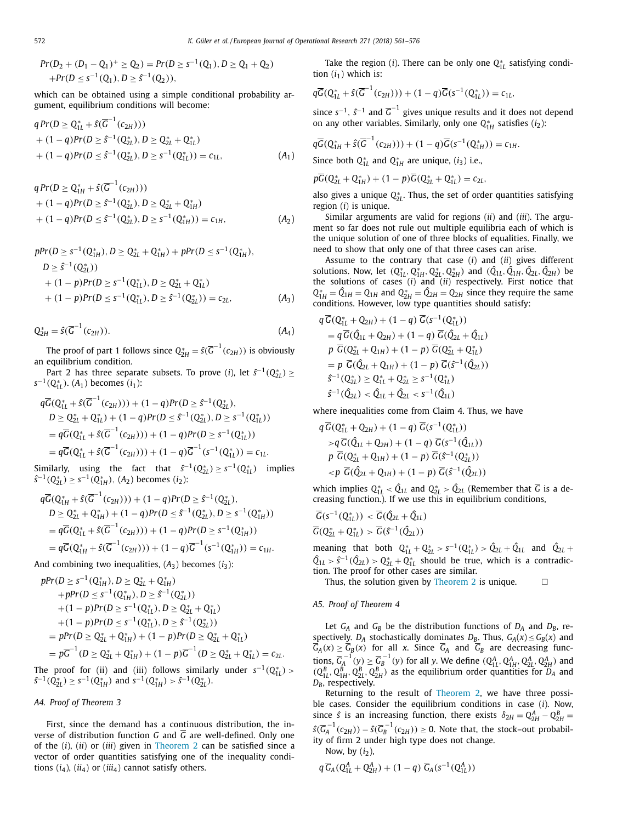<span id="page-11-0"></span>
$$
Pr(D_2 + (D_1 - Q_1)^+ \ge Q_2) = Pr(D \ge s^{-1}(Q_1), D \ge Q_1 + Q_2) + Pr(D \le s^{-1}(Q_1), D \ge \hat{s}^{-1}(Q_2)),
$$

which can be obtained using a simple conditional probability argument, equilibrium conditions will become:

$$
qPr(D \ge Q_{1L}^* + \hat{s}(\overline{G}^{-1}(c_{2H})))
$$
  
+ (1-q)Pr(D \ge \hat{s}^{-1}(Q\_{2L}^\*), D \ge Q\_{2L}^\* + Q\_{1L}^\*)  
+ (1-q)Pr(D \le \hat{s}^{-1}(Q\_{2L}^\*), D \ge s^{-1}(Q\_{1L}^\*)) = c\_{1L}, (A\_1)

$$
qPr(D \ge Q_{1H}^* + \hat{s}(\overline{G}^{-1}(c_{2H})))
$$
  
+ (1-q)Pr(D \ge \hat{s}^{-1}(Q\_{2L}^\*), D \ge Q\_{2L}^\* + Q\_{1H}^\*)  
+ (1-q)Pr(D \le \hat{s}^{-1}(Q\_{2L}^\*), D \ge s^{-1}(Q\_{1H}^\*)) = c\_{1H}, (A\_2)

$$
pPr(D \ge s^{-1}(Q_{1H}^*), D \ge Q_{2L}^* + Q_{1H}^*) + pPr(D \le s^{-1}(Q_{1H}^*),
$$
  
\n
$$
D \ge \hat{s}^{-1}(Q_{2L}^*)
$$
  
\n
$$
+ (1-p)Pr(D \ge s^{-1}(Q_{1L}^*), D \ge Q_{2L}^* + Q_{1L}^*)
$$
  
\n
$$
+ (1-p)Pr(D \le s^{-1}(Q_{1L}^*), D \ge \hat{s}^{-1}(Q_{2L}^*)) = c_{2L},
$$
 (A<sub>3</sub>)

$$
Q_{2H}^* = \hat{s}(\overline{G}^{-1}(c_{2H})).
$$
\n(A<sub>4</sub>)

The proof of part 1 follows since  $Q_{2H}^* = \widehat{s}(\overline{G}^{-1}(c_{2H}))$  is obviously an equilibrium condition.

Part 2 has three separate subsets. To prove (*i*), let  $\hat{s}^{-1}(Q^*_{2L}) \geq$ *s*<sup>−1</sup>(*Q*<sub>\*</sub><sub>L</sub>). (*A*<sub>1</sub>) becomes (*i*<sub>1</sub>):

$$
q\overline{G}(Q_{1L}^* + \hat{s}(\overline{G}^{-1}(c_{2H}))) + (1-q)Pr(D \ge \hat{s}^{-1}(Q_{2L}^*),
$$
  
\n
$$
D \ge Q_{2L}^* + Q_{1L}^* + (1-q)Pr(D \le \hat{s}^{-1}(Q_{2L}^*), D \ge s^{-1}(Q_{1L}^*))
$$
  
\n
$$
= q\overline{G}(Q_{1L}^* + \hat{s}(\overline{G}^{-1}(c_{2H}))) + (1-q)Pr(D \ge s^{-1}(Q_{1L}^*))
$$
  
\n
$$
= q\overline{G}(Q_{1L}^* + \hat{s}(\overline{G}^{-1}(c_{2H}))) + (1-q)\overline{G}^{-1}(s^{-1}(Q_{1L}^*)) = c_{1L}.
$$

Similarly, using the fact that  $\hat{s}^{-1}(Q_{2L}^*) \ge s^{-1}(Q_{1L}^*)$  implies  $\hat{s}^{-1}(Q_{2L}^*)$  ≥  $s^{-1}(Q_{1H}^*), (A_2)$  becomes (*i*<sub>2</sub>):

$$
q\overline{G}(Q_{1H}^* + \hat{s}(\overline{G}^{-1}(c_{2H}))) + (1-q)Pr(D \ge \hat{s}^{-1}(Q_{2L}^*),
$$
  
\n
$$
D \ge Q_{2L}^* + Q_{1H}^* + (1-q)Pr(D \le \hat{s}^{-1}(Q_{2L}^*), D \ge s^{-1}(Q_{1H}^*))
$$
  
\n
$$
= q\overline{G}(Q_{1L}^* + \hat{s}(\overline{G}^{-1}(c_{2H}))) + (1-q)Pr(D \ge s^{-1}(Q_{1H}^*))
$$
  
\n
$$
= q\overline{G}(Q_{1H}^* + \hat{s}(\overline{G}^{-1}(c_{2H}))) + (1-q)\overline{G}^{-1}(s^{-1}(Q_{1H}^*)) = c_{1H}.
$$

And combining two inequalities,  $(A_3)$  becomes  $(i_3)$ :

 $-1$ 

$$
pPr(D \ge s^{-1}(Q_{1H}^*) , D \ge Q_{2L}^* + Q_{1H}^* )
$$
  
+ 
$$
pPr(D \le s^{-1}(Q_{1H}^*), D \ge \hat{s}^{-1}(Q_{2L}^*))
$$
  
+ 
$$
(1-p)Pr(D \ge s^{-1}(Q_{1L}^*), D \ge Q_{2L}^* + Q_{1L}^* )
$$
  
+ 
$$
(1-p)Pr(D \le s^{-1}(Q_{1L}^*), D \ge \hat{s}^{-1}(Q_{2L}^*))
$$
  
= 
$$
pPr(D \ge Q_{2L}^* + Q_{1H}^* ) + (1-p)Pr(D \ge Q_{2L}^* + Q_{1L}^* )
$$
  
= 
$$
p\overline{G}^{-1}(D \ge Q_{2L}^* + Q_{1H}^* ) + (1-p)\overline{G}^{-1}(D \ge Q_{2L}^* + Q_{1L}^* ) = c_{2L}.
$$

The proof for (ii) and (iii) follows similarly under  $s^{-1}(Q_{1L}^*) > \hat{s}^{-1}(Q_{2L}^*) \ge s^{-1}(Q_{1H}^*)$  and  $s^{-1}(Q_{1H}^*) > \hat{s}^{-1}(Q_{2L}^*)$ .

#### *A4. Proof of Theorem 3*

First, since the demand has a continuous distribution, the inverse of distribution function *G* and *G* are well-defined. Only one of the (*i*), (*ii*) or (*iii*) given in [Theorem](#page-4-0) 2 can be satisfied since a vector of order quantities satisfying one of the inequality conditions  $(i_4)$ ,  $(ii_4)$  or  $(iii_4)$  cannot satisfy others.

Take the region (*i*). There can be only one  $Q_{1L}^*$  satisfying condition  $(i_1)$  which is:

$$
q\overline{G}(Q_{1L}^* + \hat{s}(\overline{G}^{-1}(c_{2H}))) + (1-q)\overline{G}(s^{-1}(Q_{1L}^*)) = c_{1L},
$$

since  $s^{-1}$ ,  $\hat{s}^{-1}$  and  $\overline{G}^{-1}$  gives unique results and it does not depend on any other variables. Similarly, only one *Q*<sup>∗</sup> <sup>1</sup>*<sup>H</sup>* satisfies (*i*2):

$$
q\overline{G}(Q_{1H}^* + \hat{s}(\overline{G}^{-1}(c_{2H}))) + (1-q)\overline{G}(s^{-1}(Q_{1H}^*)) = c_{1H}.
$$

Since both  $Q_{1L}^*$  and  $Q_{1H}^*$  are unique,  $(i_3)$  i.e.,

$$
p\overline{G}(Q_{2L}^* + Q_{1H}^*) + (1-p)\overline{G}(Q_{2L}^* + Q_{1L}^*) = c_{2L},
$$

also gives a unique *Q*<sup>∗</sup> <sup>2</sup>*L*. Thus, the set of order quantities satisfying region (*i*) is unique.

Similar arguments are valid for regions (*ii*) and (*iii*). The argument so far does not rule out multiple equilibria each of which is the unique solution of one of three blocks of equalities. Finally, we need to show that only one of that three cases can arise.

Assume to the contrary that case (*i*) and (*ii*) gives different solutions. Now, let  $(Q_{1L}^*, Q_{1H}^*, Q_{2L}^*, Q_{2H}^*)$  and  $(\hat{Q}_{1L}, \hat{Q}_{1H}, \hat{Q}_{2L}, \hat{Q}_{2H})$  be the solutions of cases  $(i)$  and  $(ii)$  respectively. First notice that  $Q_{1H}^* = \hat{Q}_{1H} = Q_{1H}$  and  $Q_{2H}^* = \hat{Q}_{2H} = Q_{2H}$  since they require the same conditions. However, low type quantities should satisfy:

$$
q \overline{G}(Q_{1L}^* + Q_{2H}) + (1 - q) \overline{G}(s^{-1}(Q_{1L}^*))
$$
  
=  $q \overline{G}(\hat{Q}_{1L} + Q_{2H}) + (1 - q) \overline{G}(\hat{Q}_{2L} + \hat{Q}_{1L})$   
 $p \overline{G}(Q_{2L}^* + Q_{1H}) + (1 - p) \overline{G}(Q_{2L}^* + Q_{1L}^*)$   
=  $p \overline{G}(\hat{Q}_{2L} + Q_{1H}) + (1 - p) \overline{G}(\hat{s}^{-1}(\hat{Q}_{2L}))$   
 $\hat{s}^{-1}(Q_{2L}^*) \ge Q_{1L}^* + Q_{2L}^* \ge s^{-1}(Q_{1L}^*)$   
 $\hat{s}^{-1}(\hat{Q}_{2L}) < \hat{Q}_{1L} + \hat{Q}_{2L} < s^{-1}(\hat{Q}_{1L})$ 

where inequalities come from Claim 4. Thus, we have

$$
q\overline{G}(Q_{1L}^* + Q_{2H}) + (1 - q)\overline{G}(s^{-1}(Q_{1L}^*))
$$
  
\n
$$
> q\overline{G}(\hat{Q}_{1L} + Q_{2H}) + (1 - q)\overline{G}(s^{-1}(\hat{Q}_{1L}))
$$
  
\n
$$
p\overline{G}(Q_{2L}^* + Q_{1H}) + (1 - p)\overline{G}(\hat{s}^{-1}(Q_{2L}^*))
$$
  
\n
$$
< p\overline{G}(\hat{Q}_{2L} + Q_{1H}) + (1 - p)\overline{G}(\hat{s}^{-1}(\hat{Q}_{2L}))
$$

which implies  $Q_{1L}^* < \hat{Q}_{1L}$  and  $Q_{2L}^* > \hat{Q}_{2L}$  (Remember that  $\overline{G}$  is a decreasing function.). If we use this in equilibrium conditions,

$$
\begin{aligned} \overline{G}(s^{-1}(Q^*_{1L})) &< \overline{G}(\hat{Q}_{2L} + \hat{Q}_{1L}) \\ \overline{G}(Q^*_{2L} + Q^*_{1L}) &> \overline{G}(\hat{s}^{-1}(\hat{Q}_{2L})) \end{aligned}
$$

meaning that both  $Q_{1L}^* + Q_{2L}^* > s^{-1}(Q_{1L}^*) > \hat{Q}_{2L} + \hat{Q}_{1L}$  and  $\hat{Q}_{2L}$  +  $\hat{Q}_{1L} > \hat{s}^{-1}(\hat{Q}_{2L}) > Q_{2L}^* + Q_{1L}^*$  should be true, which is a contradiction. The proof for other cases are similar.

Thus, the solution given by [Theorem](#page-4-0) 2 is unique.  $\Box$ 

# *A5. Proof of Theorem 4*

Let  $G_A$  and  $G_B$  be the distribution functions of  $D_A$  and  $D_B$ , respectively. *D<sub>A</sub>* stochastically dominates *D<sub>B</sub>*. Thus,  $G_A(x) \leq G_B(x)$  and  $\overline{G}_A(x) \ge \overline{G}_B(x)$  for all *x*. Since  $\overline{G}_A$  and  $\overline{G}_B$  are decreasing func- $\overline{G}_{A}^{(-1)}(y) \geq \overline{G}_{B}^{(-1)}(y)$  for all *y*. We define  $(Q_{1L}^{A}, Q_{2H}^{A}, Q_{2L}^{A}, Q_{2H}^{A})$  and  $(Q_{1L}^B, Q_{1H}^B, Q_{2L}^B, Q_{2H}^B)$  as the equilibrium order quantities for  $D_A$  and *D<sub>B</sub>*, respectively.

Returning to the result of [Theorem](#page-4-0) 2, we have three possible cases. Consider the equilibrium conditions in case (*i*). Now, since *s*̂ is an increasing function, there exists  $\delta_{2H} = Q_{2H}^A - Q_{2H}^B$  $\hat{s}(\overline{G}_{A}^{-1}(c_{2H})) - \hat{s}(\overline{G}_{B}^{-1}(c_{2H})) \ge 0$ . Note that, the stock–out probability of firm 2 under high type does not change.

Now, by 
$$
(i_2)
$$
,

$$
q\overline{G}_A(Q^A_{1L}+Q^A_{2H})+(1-q)\overline{G}_A(s^{-1}(Q^A_{1L}))
$$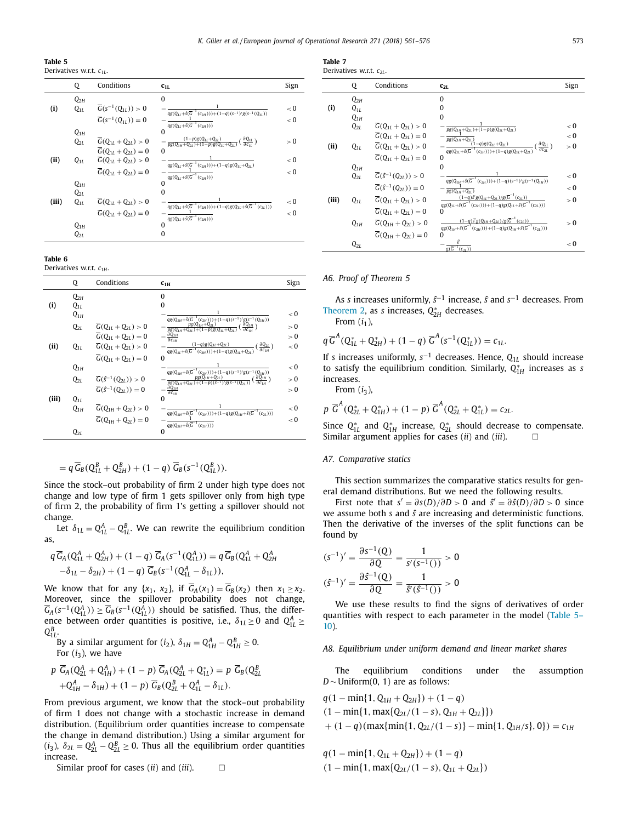<span id="page-12-0"></span>**Table 5** Derivatives w.r.t.  $c_1$ 

|       | Q        | Conditions                          | $c_{1L}$                                                                                                                    | Sign |
|-------|----------|-------------------------------------|-----------------------------------------------------------------------------------------------------------------------------|------|
|       | $Q_{2H}$ |                                     | $\Omega$                                                                                                                    |      |
| (i)   | $Q_{1L}$ | $\overline{G}(s^{-1}(Q_{1L})) > 0$  | $qg(Q_{1L} + \hat{s}(\overline{G}^{-1}(c_{2H}))) + (1-q)(s^{-1})'g(s^{-1}(Q_{1L}))$                                         | < 0  |
|       |          | $\overline{G}(s^{-1}(Q_{1L}))=0$    | $\overline{qg(Q_{1L}+\hat{s}(\overline{G}^{-1}(c_{2H})))}$                                                                  | < 0  |
|       | $Q_{1H}$ |                                     | $\Omega$                                                                                                                    |      |
|       | $Q_{2L}$ | $\overline{G}(Q_{1L} + Q_{2L}) > 0$ | $\frac{(1-p)g(Q_{1L}+Q_{2L})}{pg(Q_{1H}+Q_{2L})+(1-p)g(Q_{1L}+Q_{2L})}\left(\frac{\partial Q_{1L}}{\partial c_{1L}}\right)$ | > 0  |
|       |          | $G(Q_{1L} + Q_{2L}) = 0$            | 0                                                                                                                           |      |
| (ii)  | $Q_{1L}$ | $\overline{G}(Q_{1L} + Q_{2L}) > 0$ | $qg(Q_{1L}+\hat{s}(\overline{G}^{-1}(c_{2H})))+(1-q)g(Q_{1L}+Q_{2L})$                                                       | < 0  |
|       |          | $G(Q_{1L} + Q_{2L}) = 0$            | $qg(Q_{1L} + \hat{s}(\overline{G}^{-1}(c_{2H})))$                                                                           | < 0  |
|       | $Q_{1H}$ |                                     | 0                                                                                                                           |      |
|       | $Q_{2L}$ |                                     | $\Omega$                                                                                                                    |      |
| (iii) | $Q_{1L}$ | $G(Q_{1L} + Q_{2L}) > 0$            | $qg(Q_{1L} + \hat{s}(\overline{G}^{-1}(c_{2H}))) + (1-q)g(Q_{1L} + \hat{s}(\overline{G}^{-1}(c_{2L})))$                     | < 0  |
|       |          | $\overline{G}(Q_{1L} + Q_{2L}) = 0$ | $qg(Q_{1L} + \hat{S}(\overline{G}^{-1}(c_{2H})))$                                                                           | < 0  |
|       | $Q_{1H}$ |                                     | $\Omega$                                                                                                                    |      |
|       | $Q_{2L}$ |                                     | 0                                                                                                                           |      |

**Table 6**

Derivatives w.r.t.  $c_{1H}$ .

|       | Q                                                        | Conditions                                                                                                                                 | $c_{1H}$                                                                                                                                                                                                                                                                                                                                                                                                                         | Sign                            |
|-------|----------------------------------------------------------|--------------------------------------------------------------------------------------------------------------------------------------------|----------------------------------------------------------------------------------------------------------------------------------------------------------------------------------------------------------------------------------------------------------------------------------------------------------------------------------------------------------------------------------------------------------------------------------|---------------------------------|
| (i)   | $Q_{2H}$<br>$Q_{1L}$<br>$Q_{1H}$                         |                                                                                                                                            | $\Omega$<br>$\Omega$<br>$qg(Q_{1H} + \hat{s}(\overline{G}_{\_}^{-1}(c_{2H}))) + (1-q)(s^{-1})'g(s^{-1}(Q_{1H}))$                                                                                                                                                                                                                                                                                                                 | < 0                             |
| (ii)  | $Q_{2L}$<br>$Q_{1L}$                                     | $G(Q_{1L} + Q_{2L}) > 0$<br>$G(Q_{1L} + Q_{2L}) = 0$<br>$G(Q_{1L} + Q_{2L}) > 0$<br>$G(Q_{1L} + Q_{2L}) = 0$                               | $\frac{pg(Q_{1H}+Q_{2L})}{pg(Q_{1H}+Q_{2L})+(1-p)g(Q_{1L}+Q_{2L})}$<br>$\frac{1}{\sqrt{2}}(\frac{\partial Q_{1H}}{\partial \sigma})$<br>$rac{\partial Q_{1H}}{\partial c_{1H}}$<br>$(1-q)g(Q_{1L}+Q_{2L})$<br>$(\frac{\partial Q_{2l}}{\partial c_{1H}})$<br>$qg(Q_{1L}+\hat{s}(\overline{G}^{-1}(c_{2H})))+(1-q)g(Q_{1I}+Q_{2I})$<br>$\Omega$                                                                                   | > 0<br>> 0<br>< 0               |
| (iii) | $Q_{1H}$<br>$Q_{2L}$<br>$Q_{1L}$<br>$Q_{1H}$<br>$Q_{2L}$ | $\overline{G}(\hat{s}^{-1}(Q_{2L})) > 0$<br>$\overline{G}(\hat{s}^{-1}(Q_{2L}))=0$<br>$G(Q_{1H} + Q_{2L}) > 0$<br>$G(0_{1H} + 0_{2L}) = 0$ | $-\frac{\frac{r^2(H^1)}{pg(Q_{1H}+Q_{2L})}+(1-q)(s^{-1})^r\overline{g(s^{-1}(Q_{1H})})}{\frac{\partial Q_{1H}}{\partial C_{1H}}+(2\pi)+(1-p)(s^{-1})^r\overline{g(s^{-1}(Q_{2L}))}}\left(\frac{\partial Q_{1H}}{\partial c_{1H}}\right)$<br>$\Omega$<br>$qg(Q_{1H} + \hat{s}(\overline{G}^{-1}(c_{2H}))) + (1-q)g(Q_{1H} + \hat{s}(\overline{G}^{-1}(c_{2L})))$<br>$qg(Q_{1H} + \hat{s}(\overline{G}^{-1}(c_{2H})))$<br>$\Omega$ | < 0<br>> 0<br>> 0<br>< 0<br>< 0 |

$$
= q \, \overline{G}_B (Q_{1L}^B + Q_{2H}^B) + (1 - q) \, \overline{G}_B (s^{-1} (Q_{1L}^B)).
$$

Since the stock–out probability of firm 2 under high type does not change and low type of firm 1 gets spillover only from high type of firm 2, the probability of firm 1's getting a spillover should not change.

Let  $\delta_{1L} = Q_{1L}^A - Q_{1L}^B$ . We can rewrite the equilibrium condition as,

$$
q \overline{G}_A (Q_{1L}^A + Q_{2H}^A) + (1 - q) \overline{G}_A (s^{-1} (Q_{1L}^A)) = q \overline{G}_B (Q_{1L}^A + Q_{2H}^A - \delta_{1L} - \delta_{2H}) + (1 - q) \overline{G}_B (s^{-1} (Q_{1L}^A - \delta_{1L})),
$$

We know that for any  $\{x_1, x_2\}$ , if  $\overline{G}_A(x_1) = \overline{G}_B(x_2)$  then  $x_1 \ge x_2$ . Moreover, since the spillover probability does not change,  $\overline{G}_A(s^{-1}(Q_{1L}^A)) \ge \overline{G}_B(s^{-1}(Q_{1L}^A))$  should be satisfied. Thus, the difference between order quantities is positive, i.e.,  $\delta_{1L} \ge 0$  and  $Q_{1L}^A \ge$  $Q^B_{1L}$ .

By a similar argument for  $(i_2)$ ,  $\delta_{1H} = Q_{1H}^A - Q_{1H}^B \geq 0$ . For  $(i_3)$ , we have

$$
p \ \overline{G}_A (Q_{2L}^A + Q_{1H}^A) + (1 - p) \ \overline{G}_A (Q_{2L}^A + Q_{1L}^*) = p \ \overline{G}_B (Q_{2L}^B + Q_{1H}^A - \delta_{1H}) + (1 - p) \ \overline{G}_B (Q_{2L}^B + Q_{1L}^A - \delta_{1L}).
$$

From previous argument, we know that the stock–out probability of firm 1 does not change with a stochastic increase in demand distribution. (Equilibrium order quantities increase to compensate the change in demand distribution.) Using a similar argument for  $(\lambda_{13})$ ,  $\delta_{2L} = Q_{2L}^A - Q_{2L}^B \geq 0$ . Thus all the equilibrium order quantities increase.

Similar proof for cases  $(ii)$  and  $(iii)$ .  $\Box$ 

| Table 7                       |  |
|-------------------------------|--|
| Derivatives w.r.t. $c_{2L}$ . |  |

|       | Q        | Conditions                               | $c_{2L}$                                                                                                                                                                                            | Sign |
|-------|----------|------------------------------------------|-----------------------------------------------------------------------------------------------------------------------------------------------------------------------------------------------------|------|
|       | $Q_{2H}$ |                                          | o                                                                                                                                                                                                   |      |
| (i)   | $Q_{1L}$ |                                          | o                                                                                                                                                                                                   |      |
|       | $Q_{1H}$ |                                          | $\Omega$                                                                                                                                                                                            |      |
|       | $Q_{2L}$ | $\overline{G}(Q_{1L} + Q_{2L}) > 0$      | $pg(Q_{1H}+Q_{2L})+(1-p)g(Q_{1L}+Q_{2L})$                                                                                                                                                           | < 0  |
|       |          | $G(Q_{1L} + Q_{2L}) = 0$                 | $pg(Q_{1H} + Q_{2L})$                                                                                                                                                                               | < 0  |
| (ii)  | $Q_{1L}$ | $\overline{G}(Q_{1L} + Q_{2L}) > 0$      | $\frac{1}{qg(Q_{1L}+\hat{s}(\overline{G}^{-1}(c_{2H})))+(1-q)g(Q_{1L}+Q_{2L})}{qg(Q_{1L}+\hat{s}(\overline{G}^{-1}(c_{2H})))+(1-q)g(Q_{1L}+Q_{2L})}$<br>$(\frac{\partial Q_{2l}}{\partial c_{2l}})$ | > 0  |
|       |          | $\overline{G}(Q_{1L} + Q_{2L}) = 0$      | ŋ                                                                                                                                                                                                   |      |
|       | $Q_{1H}$ |                                          | $\Omega$                                                                                                                                                                                            |      |
|       | $Q_{2L}$ | $\overline{G}(\hat{s}^{-1}(Q_{2L})) > 0$ | $\overline{qg(Q_{1H}+\hat{s}(\overline{G}^{-1}(c_{2H})))+(1-q)(s^{-1})'}g(s^{-1}(Q_{1H}))$                                                                                                          | < 0  |
|       |          | $\overline{G}(\hat{s}^{-1}(Q_{2L}))=0$   | $pg(Q_{1H}+Q_{2I})$                                                                                                                                                                                 | < 0  |
| (iii) | $Q_{1L}$ | $\overline{G}(Q_{1L} + Q_{2L}) > 0$      | $\frac{(1-q) \hat{s}' g(Q_{1L}+Q_{2L})/g(\overline{G}^{-1}(c_{2L}))}{q g(Q_{1L}+\hat{s}(\overline{G}^{-1}(c_{2H})))+(1-q)g(Q_{1L}+\hat{s}(\overline{G}^{-1}(c_{2L})))}$                             | > 0  |
|       |          | $\overline{G}(Q_{11} + Q_{21}) = 0$      | o                                                                                                                                                                                                   |      |
|       | $Q_{1H}$ | $\overline{G}(Q_{1H} + Q_{2L}) > 0$      | $\frac{(1-q) \tilde s' g(Q_{1H}+Q_{2L})/g(\overline{G}^{-1}(c_{2L}))}{q g(Q_{1H}+\tilde s(\overline{G}^{-1}(c_{2H})))+(1-q)g(Q_{1H}+\tilde s(\overline{G}^{-1}(c_{2L})))}$                          | > 0  |
|       |          | $G(Q_{1H} + Q_{2L}) = 0$                 | 0                                                                                                                                                                                                   |      |
|       | $Q_{2L}$ |                                          | $g(\overline{G}^{-1}(c_{2L}))$                                                                                                                                                                      | < 0  |

# *A6. Proof of Theorem 5*

As *s* increases uniformly,  $\hat{s}^{-1}$  increase,  $\hat{s}$  and  $s^{-1}$  decreases. From [Theorem](#page-4-0) 2, as *s* increases, *Q*<sup>∗</sup> <sup>2</sup>*<sup>H</sup>* decreases.

From  $(i_1)$ ,

$$
q\,\overline{G}^A(Q_{1L}^* + Q_{2H}^*) + (1-q)\,\overline{G}^A(s^{-1}(Q_{1L}^*)) = c_{1L}.
$$

If *s* increases uniformly, *s*−<sup>1</sup> decreases. Hence, *Q*1*<sup>L</sup>* should increase to satisfy the equilibrium condition. Similarly,  $Q<sup>∗</sup><sub>1H</sub>$  increases as *s* increases.

From  $(i_2)$ ,

 $p \overline{G}^{A} (Q_{2L}^{*} + Q_{1H}^{*}) + (1-p) \overline{G}^{A} (Q_{2L}^{*} + Q_{1L}^{*}) = c_{2L}$ 

Since  $Q_{1L}^*$  and  $Q_{1H}^*$  increase,  $Q_{2L}^*$  should decrease to compensate. Similar argument applies for cases (*ii*) and (*iii*).  $\Box$ 

#### *A7. Comparative statics*

This section summarizes the comparative statics results for general demand distributions. But we need the following results.

First note that  $s' = \partial s(D)/\partial D > 0$  and  $\hat{s}' = \partial \hat{s}(D)/\partial D > 0$  since we assume both *s* and *s*̂ are increasing and deterministic functions. Then the derivative of the inverses of the split functions can be found by

$$
(s^{-1})' = \frac{\partial s^{-1}(Q)}{\partial Q} = \frac{1}{s'(s^{-1}())} > 0
$$

$$
(\hat{s}^{-1})' = \frac{\partial \hat{s}^{-1}(Q)}{\partial Q} = \frac{1}{\hat{s}'(\hat{s}^{-1}())} > 0
$$

We use these results to find the signs of derivatives of order quantities with respect to each parameter in the model (Table 5– 10).

# *A8. Equilibrium under uniform demand and linear market shares*

The equilibrium conditions under the assumption *D* ∼ Uniform(0, 1) are as follows:

$$
q(1 - \min\{1, Q_{1H} + Q_{2H}\}) + (1 - q)
$$
  
(1 - \min\{1, \max\{Q\_{2L}/(1 - s), Q\_{1H} + Q\_{2L}\}\})  
 + (1 - q)(\max\{\min\{1, Q\_{2L}/(1 - s)\} - \min\{1, Q\_{1H}/s\}, 0\}) = c\_{1H}

 $q(1 - \min\{1, Q_{1l} + Q_{2H}\}) + (1 - q)$  $(1 - \min\{1, \max\{Q_{2L}/(1 - s), Q_{1L} + Q_{2L}\})$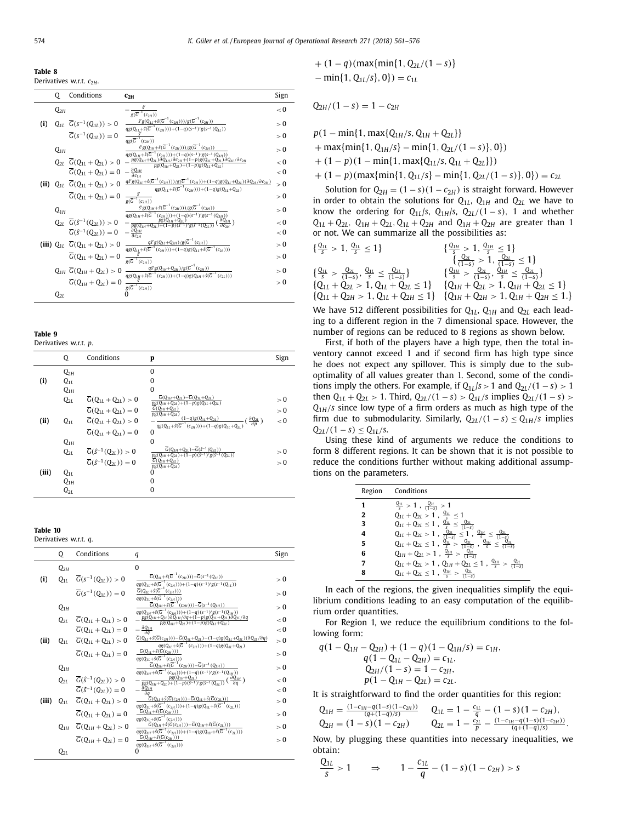**Table 8**

Derivatives w.r.t.  $c_{2H}$ .

|     | 0        | Conditions                                         | $c_{2H}$                                                                                                                                                                                                                                                            | Sign     |
|-----|----------|----------------------------------------------------|---------------------------------------------------------------------------------------------------------------------------------------------------------------------------------------------------------------------------------------------------------------------|----------|
|     | $Q_{2H}$ |                                                    | $\overline{g(\overline{G}^{-1}(c_{2H}))}$                                                                                                                                                                                                                           | < 0      |
| (i) |          | $Q_{1L}$ $\overline{G}(s^{-1}(Q_{1L})) > 0$        | $\frac{\partial^2 g(Q_{1L} + \hat{S}(\overline{G}^{-1}(c_{2H}))))}{\partial(\overline{G}^{-1}(c_{2H}))}$<br>$qg(Q_{1L_{\infty}^{+}}\hat{s}(\overline{G}^{-1}(c_{2H})))+(1-q)(s^{-1})'g(s^{-1}(Q_{1L}))$                                                             | $\geq 0$ |
|     |          | $\overline{G}(s^{-1}(Q_{1L})) = 0$                 | $\overline{qg(\overline{G}^{-1}(c_{2H}))}$                                                                                                                                                                                                                          | $\geq 0$ |
|     | $Q_{1H}$ |                                                    | $\frac{\hat{S}' g(Q_{1H} + \hat{S}(\overline{G}^{-1}(c_{2H})))}{g(\overline{G}^{-1}(c_{2H}))}$                                                                                                                                                                      | $\geq 0$ |
|     |          | $Q_{2L}$ $G(Q_{1L} + Q_{2L}) > 0$                  | $\begin{array}{l} qg(Q_{1H}+\hat{S}(\overline{G}^{-1}(c_{2H})))+(1-q)(s^{-1})'g(s^{-1}(Q_{1H})) \\ =pg(Q_{1H}+Q_{2L})\partial Q_{1H}/\partial c_{2H}+(1-p)g(Q_{1L}+Q_{2L})\partial Q_{1L}/\partial c_{2H} \end{array}$<br>$pg(Q_{1H}+Q_{2L})+(1-p)g(Q_{1L}+Q_{2L})$ | < 0      |
|     |          | $G(Q_{1L} + Q_{2L}) = 0$                           | $-\frac{\partial Q_{1H}}{\partial C_{1H}}$                                                                                                                                                                                                                          | < 0      |
|     |          | (ii) $Q_{1L}$ $G(Q_{1L} + Q_{2L}) > 0$             | $q\hat{s}'g(Q_{1L}+\hat{s}(\overline{G}^{-1}(c_{2H}))))g(\overline{G}^{-1}(c_{2H}))+ (1-q)g(Q_{1L}+Q_{2L})(\partial Q_{2L}/\partial c_{2H})$<br>$qg(Q_{1L} + \hat{s}(\overline{G}^{-1}(c_{2H}))) + (1-q)g(Q_{1L} + Q_{2L})$                                         | $\geq 0$ |
|     |          | $G(Q_{1L} + Q_{2L}) = 0$                           | $\frac{\hat{s}'}{2}$<br>$\overline{g(\overline{G}^{-1}(c_{2H}))}$                                                                                                                                                                                                   | $\geq 0$ |
|     | $Q_{1H}$ |                                                    | $\frac{\hat{S}' g(Q_{1H} + \hat{S}(\overline{G}^{-1}(c_{2H}))))}{\hat{S}'(c_{2H}^{-1}(c_{2H}))}$                                                                                                                                                                    | $\geq 0$ |
|     |          | $Q_{2L}$ $\overline{G}(\hat{s}^{-1}(Q_{2L})) > 0$  | $\frac{qg(Q_{1H}+\hat{s}(\overline{G}^{-1}(c_{2H})))+(1-q)(s^{-1})'g(s^{-1}(Q_{1H}))}{\displaystyle\frac{pg(Q_{1H}+Q_{2L})}{\displaystyle\frac{pg(Q_{1H}+Q_{2L})+(1-p)(s^{-1})'g(s^{-1}(Q_{2L}))}{\displaystyle\frac{dQ_{1H}}{d c_{2H}}}}\Big)$                     | - 0      |
|     |          | $\overline{G}(\hat{S}^{-1}(Q_{21})) = 0$           | $-\frac{\partial Q_{1H}}{\partial c_{2H}}$                                                                                                                                                                                                                          | < 0      |
|     |          | (iii) $Q_{1L}$ $\overline{G}(Q_{1L} + Q_{2L}) > 0$ | $\frac{q\hat{S}'g(Q_{1L}+Q_{2H})/g(\overline{G}^{-1}(c_{2H}))}{qg(Q_{1^L_{K}}+\hat{S}(\overline{G}^{-1}(c_{2H})))+(1-q)g(Q_{1L}+\hat{S}(\overline{G}^{-1}(c_{2L})))}$                                                                                               | $\sim$ 0 |
|     |          | $G(Q_{1L} + Q_{2L}) = 0$                           | $\overline{g(\overline{G}^{-1}(c_{2H}))}$                                                                                                                                                                                                                           | $\geq 0$ |
|     |          | $Q_{1H} G(Q_{1H} + Q_{2L}) > 0$                    | $\frac{q\tilde{s}'g(Q_{1H}+Q_{2H})/g(\overline{G}^{-1}(c_{2H}))}{qg(Q_{1H}+\tilde{s}(\overline{G}^{-1}(c_{2H})))+(1-q)g(Q_{1H}+\tilde{s}(\overline{G}^{-1}(c_{2L})))}$                                                                                              | $\geq 0$ |
|     |          | $\overline{G}(Q_{1H} + Q_{2L}) = 0$                | $g(\overline{G}^{-1})$<br>$(c_{2H})$                                                                                                                                                                                                                                | $\geq 0$ |
|     | $Q_{2L}$ |                                                    |                                                                                                                                                                                                                                                                     |          |

| $\sim$<br>. . | $\sim$ |
|---------------|--------|
|               |        |

Derivatives w.r.t. *p*.

|       | O        | Conditions                               | p                                                                                                                                            | Sign |
|-------|----------|------------------------------------------|----------------------------------------------------------------------------------------------------------------------------------------------|------|
|       | $Q_{2H}$ |                                          | $\Omega$                                                                                                                                     |      |
| (i)   | $Q_{1L}$ |                                          | 0                                                                                                                                            |      |
|       | $Q_{1H}$ |                                          | $\Omega$                                                                                                                                     |      |
|       | $Q_{2L}$ | $\overline{G}(Q_{1L} + Q_{2L}) > 0$      | $\overline{G}(Q_{1H}+Q_{2I})-\overline{G}(Q_{1I}+Q_{2I})$<br>$pg(Q_{1H}+Q_{2L})+(1-p)g(Q_{1L}+Q_{2L})$                                       | > 0  |
|       |          | $\overline{G}(Q_{1L} + Q_{2L}) = 0$      | $G(Q_{1H} + Q_{2L})$<br>$pg(Q_{1H} + Q_{2L})$                                                                                                | > 0  |
| (ii)  | $Q_{1L}$ | $G(Q_{1L} + Q_{2L}) > 0$                 | $\frac{(1-q)g(Q_{1L}+Q_{2L})}{qg(Q_{1L}+\hat{s}(\overline{G}^{-1}(c_{2H})))+(1-q)g(Q_{1L}+Q_{2L})}$<br>$\frac{\partial Q_{2l}}{\partial p})$ | < 0  |
|       |          | $\overline{G}(Q_{1L} + Q_{2L}) = 0$      | $\Omega$                                                                                                                                     |      |
|       | $Q_{1H}$ |                                          | $\Omega$                                                                                                                                     |      |
|       | $Q_{2L}$ | $\overline{G}(\hat{s}^{-1}(Q_{2L})) > 0$ | $\overline{G}(Q_{1H}+Q_{2L})-\overline{G}(\hat{s}^{-1}(Q_{2L}))$<br>$pg(Q_{1H}+Q_{2L})+(1-p)(\hat{s}^{-1})'g(\hat{s}^{-1}(Q_{2L}))$          | > 0  |
|       |          | $\overline{G}(\hat{s}^{-1}(Q_{2L}))=0$   | $\overline{G}(Q_{1H}+Q_{2L})$<br>$pg(Q_{1H} + Q_{2L})$                                                                                       | > 0  |
| (iii) | $Q_{1L}$ |                                          | 0                                                                                                                                            |      |
|       | $Q_{1H}$ |                                          | $\Omega$                                                                                                                                     |      |
|       | $Q_{2L}$ |                                          | $\Omega$                                                                                                                                     |      |

#### **Table 10**

Derivatives w.r.t. *q*.

|       | Q        | Conditions                               | q                                                                                                                                                                                                                                        | Sign     |
|-------|----------|------------------------------------------|------------------------------------------------------------------------------------------------------------------------------------------------------------------------------------------------------------------------------------------|----------|
|       | $Q_{2H}$ |                                          | $\Omega$                                                                                                                                                                                                                                 |          |
| (i)   | $Q_{1L}$ | $\overline{G}(s^{-1}(Q_{1L})) > 0$       | $\overline{G}(Q_{1L} + \hat{s}(\overline{G}^{-1}(c_{2H}))) - \overline{G}(s^{-1}(Q_{1L}))$<br>$qg(Q_{1L} + \hat{s}(\overline{G}^{-1}(c_{2H}))) + (1-q)(s^{-1})'g(s^{-1}(Q_{1L}))$                                                        | > 0      |
|       |          | $\overline{G}(s^{-1}(Q_{1L})) = 0$       | $\frac{\overline{G}(Q_{1L} + \hat{S}(\overline{G}^{-1}(c_{2H})))}{\overline{G}(Q_{1L} + \hat{S}(\overline{G}^{-1}(c_{2H})))}$<br>$\overline{qg(Q_{1L}+\hat{s}(\overline{G}^{-1}(c_{2H})))}$                                              | $\geq 0$ |
|       | $Q_{1H}$ |                                          | $\overline{G}(Q_{1H} + \hat{s}(\overline{G}^{-1}(c_{2H}))) - \overline{G}(s^{-1}(Q_{1H}))$                                                                                                                                               | $\geq 0$ |
|       | $Q_{2L}$ | $G(Q_{1L} + Q_{2L}) > 0$                 | $-\frac{qg(Q_{1H}+\hat{S}(\overline{G}^{-1}(c_{2H})))+(1-q)(s^{-1})'g(s^{-1}(Q_{1H}))}{pg(Q_{1H}+Q_{2L})\partial Q_{1H}/\partial q+(1-p)g(Q_{1L}+Q_{2L})\partial Q_{1L}/\partial q}$                                                     | < 0      |
|       |          | $G(Q_{1L} + Q_{2L}) = 0$                 | $-\frac{\partial Q_{1H}}{\partial q}$                                                                                                                                                                                                    | < 0      |
| (ii)  | $Q_{1L}$ | $G(Q_{1L} + Q_{2L}) > 0$                 | $\overline{G(Q_{1L}+\hat{S}(\overline{G}(c_{2H})))}-\overline{G}(Q_{1L}+Q_{2L})-(1-q)g(Q_{1L}+Q_{2L})(\partial Q_{2L}/\partial q)$<br>$qg(Q_{1L} + \hat{s}(\overline{G}^{-1}(c_{2H}))) + (1-q)g(Q_{1L} + Q_{2L})$                        | $\geq 0$ |
|       |          | $\overline{G}(Q_{1L} + Q_{2L}) = 0$      | $\overline{G}(Q_{1L} + \hat{s}(\overline{G}(c_{2H})))$<br>$qg(Q_{1L} + \hat{s}(\overline{G}^{-1}(c_{2H})))$                                                                                                                              | $\geq 0$ |
|       | $Q_{1H}$ |                                          | $\overline{G}(Q_{1H} + \hat{s}(\overline{G}^{-1}(c_{2H}))) - \overline{G}(s^{-1}(Q_{1H}))$                                                                                                                                               | $\geq 0$ |
|       | $Q_{2L}$ | $\overline{G}(\hat{s}^{-1}(Q_{2L})) > 0$ | $-\frac{\frac{p g (Q_{1H}+S(\overline{G}^{-1}(c_{2H})))+(1-q) (s^{-1})' g (s^{-1} (Q_{1H}))}{\frac{p g (Q_{1H}+Q_{2L})}{\frac{p g (Q_{1H}+Q_{2L})+(1-p) (\hat{s}^{-1})' g (\hat{s}^{-1} (Q_{2L}))}(\frac{\partial Q_{1H}}{\partial q})}$ | < 0      |
|       |          | $\overline{G}(\hat{s}^{-1}(Q_{2L}))=0$   | $\partial Q_{1H}$<br>$\overline{\partial} q$                                                                                                                                                                                             | < 0      |
| (iii) | $Q_{1L}$ | $\overline{G}(Q_{1L} + Q_{2L}) > 0$      | $\overline{G}(Q_{1L}+\hat{s}(\overline{G}(c_{2H})))-\overline{G}(Q_{1L}+\hat{s}(\overline{G}(c_{2L})))$<br>$qg(Q_{1L} + \hat{s}(\overline{G}^{-1}(c_{2H}))) + (1-q)g(Q_{1L} + \hat{s}(\overline{G}^{-1}(c_{2L})))$                       | $\geq 0$ |
|       |          | $G(Q_{1L} + Q_{2L}) = 0$                 | $\overline{G}(Q_{1L} + \hat{S}(\overline{G}(c_{2H})))$<br>$qg(Q_{1L} + \hat{s}(\overline{G}^{-1}(c_{2H})))$                                                                                                                              | $\geq 0$ |
|       | $Q_{1H}$ | $G(Q_{1H} + Q_{2L}) > 0$                 | $\overline{G}(Q_{1H} + \hat{s}(\overline{G}(c_{2H}))) - \overline{G}(Q_{1H} + \hat{s}(\overline{G}(c_{2L})))$<br>$qg(Q_{1H} + \hat{s}(\overline{G}^{-1}(c_{2H}))) + (1-q)g(Q_{1H} + \hat{s}(\overline{G}^{-1}(c_{2L})))$                 | $\geq 0$ |
|       |          | $G(Q_{1H} + Q_{2L}) = 0$                 | $\overline{G(Q_{1H}+\hat{S}(\overline{G}(c_{2H})))}$<br>$qg(Q_{1H} + \hat{s}(\overline{G}^{-1}(c_{2H})))$                                                                                                                                | $\geq 0$ |
|       | $Q_{2L}$ |                                          | 0                                                                                                                                                                                                                                        |          |

+ (1 − *q*)(max{min{1,*Q*2*L*/(1 − *s*)}  $-\min\{1, Q_{1L}/s\}, 0\}) = c_{1L}$ 

 $Q_{2H}/(1-s) = 1 - c_{2H}$ 

 $p(1 - \min\{1, \max\{Q_{1H}/s, Q_{1H} + Q_{2L}\}\})$  $+$  max $\{\min\{1, Q_{1H}/s\} - \min\{1, Q_{2L}/(1 - s)\}, 0\})$ + (1 − *p*)(1 − min{1, max{*Q*1*L*/*s*,*Q*1*<sup>L</sup>* + *Q*2*L*}})  $+(1-p)(\max{\min{1, Q_{1L}/s}} - \min{1, Q_{2L}/(1-s)}, 0) = c_{2L}$ 

Solution for  $Q_{2H} = (1 - s)(1 - c_{2H})$  is straight forward. However in order to obtain the solutions for  $Q_{1L}$ ,  $Q_{1H}$  and  $Q_{2L}$  we have to know the ordering for  $Q_{1L}/s$ ,  $Q_{1H}/s$ ,  $Q_{2L}/(1-s)$ , 1 and whether  $Q_{1L} + Q_{2L}$ ,  $Q_{1H} + Q_{2L}$ ,  $Q_{1L} + Q_{2H}$  and  $Q_{1H} + Q_{2H}$  are greater than 1 or not. We can summarize all the possibilities as:

$$
\{\frac{Q_{11}}{s} > 1, \frac{Q_{11}}{s} \le 1\} \qquad \{\frac{Q_{11}}{s} > 1, \frac{Q_{11}}{s} \le 1\}
$$
\n
$$
\{\frac{Q_{11}}{s} > \frac{Q_{11}}{(1-s)}, \frac{Q_{11}}{s} \le \frac{Q_{21}}{(1-s)}\}
$$
\n
$$
\{\frac{Q_{11}}{s} > \frac{Q_{21}}{(1-s)}, \frac{Q_{11}}{s} \le \frac{Q_{21}}{(1-s)}, \frac{Q_{11}}{s} \le \frac{Q_{21}}{(1-s)}\}
$$
\n
$$
\{Q_{11} + Q_{21} > 1, Q_{11} + Q_{21} \le 1\} \qquad \{Q_{111} + Q_{21} > 1, Q_{111} + Q_{21} \le 1\}
$$
\n
$$
\{Q_{11} + Q_{21} > 1, Q_{11} + Q_{21} \le 1\} \qquad \{Q_{111} + Q_{21} > 1, Q_{111} + Q_{21} \le 1, \}
$$

We have 512 different possibilities for  $Q_{1L}$ ,  $Q_{1H}$  and  $Q_{2L}$  each leading to a different region in the 7 dimensional space. However, the number of regions can be reduced to 8 regions as shown below.

First, if both of the players have a high type, then the total inventory cannot exceed 1 and if second firm has high type since he does not expect any spillover. This is simply due to the suboptimality of all values greater than 1. Second, some of the conditions imply the others. For example, if  $Q_{1L}/s > 1$  and  $Q_{2L}/(1-s) > 1$ then  $Q_{1L} + Q_{2L} > 1$ . Third,  $Q_{2L}/(1 - s) > Q_{1L}/s$  implies  $Q_{2L}/(1 - s) >$ *Q*1*H*/*s* since low type of a firm orders as much as high type of the firm due to submodularity. Similarly,  $Q_{2L}/(1-s) \leq Q_{1H}/s$  implies  $Q_{2L}/(1-s) \leq Q_{1L}/s$ .

Using these kind of arguments we reduce the conditions to form 8 different regions. It can be shown that it is not possible to reduce the conditions further without making additional assumptions on the parameters.

|   | Region Conditions                                                                                                                                                                                                       |
|---|-------------------------------------------------------------------------------------------------------------------------------------------------------------------------------------------------------------------------|
| 1 | $\frac{Q_{1L}}{s} > 1$ , $\frac{Q_{2L}}{(1-s)} > 1$                                                                                                                                                                     |
| 2 | $Q_{1L} + Q_{2L} > 1$ , $\frac{Q_{1L}}{S} \le 1$                                                                                                                                                                        |
| 3 | $Q_{1L} + Q_{2L} \leq 1$ , $\frac{Q_{1L}}{s} \leq \frac{Q_{2L}}{(1-s)}$                                                                                                                                                 |
| 4 | $Q_{1L} + Q_{2L} > 1$ , $\frac{Q_{2L}}{(1-s)} \le 1$ , $\frac{Q_{1H}}{s} \le \frac{Q_{2H}}{(1-s)}$<br>$Q_{1L} + Q_{2L} \le 1$ , $\frac{Q_{1H}}{s} > \frac{Q_{2L}}{(1-s)}$ , $\frac{Q_{1H}}{s} \le \frac{Q_{2L}}{(1-s)}$ |
| 5 |                                                                                                                                                                                                                         |
| 6 | $Q_{1H} + Q_{2L} > 1$ , $\frac{Q_{1H}}{s} > \frac{Q_{2L}}{(1-s)}$                                                                                                                                                       |
| 7 | $Q_{1L} + Q_{2L} > 1$ , $Q_{1H} + Q_{2L} \le 1$ , $\frac{Q_{1H}}{S} > \frac{Q_{2L}}{(1-S)}$                                                                                                                             |
| 8 | $Q_{1L} + Q_{2L} \leq 1$ , $\frac{Q_{1H}}{s} > \frac{Q_{2L}}{(1-s)}$                                                                                                                                                    |

In each of the regions, the given inequalities simplify the equilibrium conditions leading to an easy computation of the equilibrium order quantities.

For Region 1, we reduce the equilibrium conditions to the following form:

$$
q(1 - Q_{1H} - Q_{2H}) + (1 - q)(1 - Q_{1H}/s) = c_{1H},
$$
  
\n
$$
q(1 - Q_{1L} - Q_{2H}) = c_{1L},
$$
  
\n
$$
Q_{2H}/(1 - s) = 1 - c_{2H},
$$
  
\n
$$
p(1 - Q_{1H} - Q_{2L}) = c_{2L}.
$$

It is straightforward to find the order quantities for this region:

$$
Q_{1H} = \frac{(1 - c_{1H} - q(1 - s)(1 - c_{2H}))}{(q + (1 - q)/s)}
$$
  
\n
$$
Q_{2H} = (1 - s)(1 - c_{2H})
$$
  
\n
$$
Q_{2H} = 1 - \frac{c_{1L}}{p} - \frac{(1 - c_{1H} - q(1 - s)(1 - c_{2H}))}{(q + (1 - q)/s)}.
$$

Now, by plugging these quantities into necessary inequalities, we obtain:

$$
\frac{Q_{1L}}{s} > 1 \qquad \Rightarrow \qquad 1 - \frac{c_{1L}}{q} - (1 - s)(1 - c_{2H}) > s
$$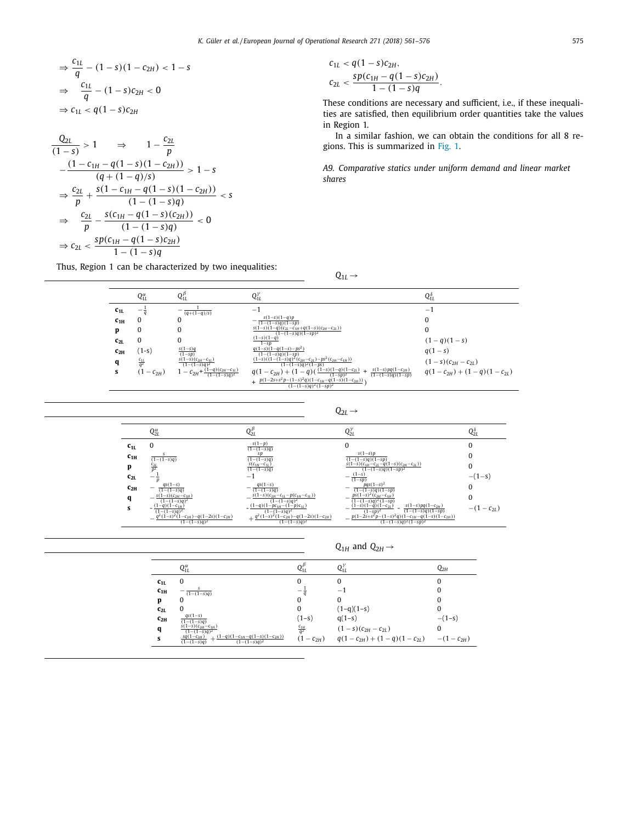<span id="page-14-0"></span>
$$
\Rightarrow \frac{c_{1L}}{q} - (1 - s)(1 - c_{2H}) < 1 - s
$$
\n
$$
\Rightarrow \frac{c_{1L}}{q} - (1 - s)c_{2H} < 0
$$
\n
$$
\Rightarrow c_{1L} < q(1 - s)c_{2H}
$$

$$
\frac{Q_{2l}}{(1-s)} > 1 \qquad \Rightarrow \qquad 1 - \frac{c_{2l}}{p}
$$
\n
$$
-\frac{(1 - c_{1H} - q(1-s)(1 - c_{2H}))}{(q + (1-q)/s)} > 1 - s
$$
\n
$$
\Rightarrow \frac{c_{2l}}{p} + \frac{s(1 - c_{1H} - q(1-s)(1 - c_{2H}))}{(1 - (1-s)q)} < s
$$
\n
$$
\Rightarrow \frac{c_{2l}}{p} - \frac{s(c_{1H} - q(1-s)(c_{2H}))}{(1 - (1-s)q)} < 0
$$
\n
$$
\Rightarrow c_{2l} < \frac{sp(c_{1H} - q(1-s)c_{2H})}{1 - (1-s)q}
$$

Thus, Region 1 can be characterized by two inequalities:

**q**  $\frac{s(1-s)(c_{2H}-c_{1H})}{(1-(1-s)a)^2}$ (1−(1−*s*)*q*)<sup>2</sup>

**q**<br> **s**  $\frac{s(1)}{(1-1)^2}$ 

$$
c_{1L} < q(1-s)c_{2H},
$$
\n
$$
c_{2L} < \frac{sp(c_{1H} - q(1-s)c_{2H})}{1 - (1-s)q}.
$$

These conditions are necessary and sufficient, i.e., if these inequalities are satisfied, then equilibrium order quantities take the values in Region 1.

In a similar fashion, we can obtain the conditions for all 8 regions. This is summarized in [Fig.](#page-8-0) 1.

*A9. Comparative statics under uniform demand and linear market shares*

 $Q_{1L} \rightarrow$ 

|               | $Q^{\alpha}_{1L}$                                              | $Q^{\beta}_{1L}$                                               | $Q_{1L}^{\gamma}$                                                                                                                      |                                                                                                                                                                                                                                                                      | $Q^{\delta}_{1L}$                     |  |
|---------------|----------------------------------------------------------------|----------------------------------------------------------------|----------------------------------------------------------------------------------------------------------------------------------------|----------------------------------------------------------------------------------------------------------------------------------------------------------------------------------------------------------------------------------------------------------------------|---------------------------------------|--|
| $c_{1L}$      | $-\frac{1}{q}$                                                 | $\frac{q+(1-q)/s)}{q+1}$                                       | $-1$                                                                                                                                   |                                                                                                                                                                                                                                                                      | $^{-1}$                               |  |
| $c_{1H}$      | 0                                                              | $\Omega$                                                       | $s(1-s)(1-q)p$<br>$(1-(1-s)q)(1-sp)$<br>$s(1-s)(1-q)(c_{2L}-c_{1H}+q(1-s)(c_{2H}-c_{2L}))$                                             |                                                                                                                                                                                                                                                                      | $\boldsymbol{0}$                      |  |
| p<br>$c_{2L}$ | 0<br>$\mathbf{0}$                                              | 0<br>0                                                         | $(1-(1-s)q)(1-sp)^2$<br>$(1-s)(1-q)$                                                                                                   |                                                                                                                                                                                                                                                                      | 0<br>$(1 - q)(1 - s)$                 |  |
| $c_{2H}$      | $(1-s)$                                                        | $s(1-s)q$                                                      | $1-sp$<br>$q(1-s)(1-q(1-s)-ps^2)$                                                                                                      |                                                                                                                                                                                                                                                                      | $q(1-s)$                              |  |
| q             | $rac{c_{1L}}{q^2}$                                             | $(1-sp)$<br>$s(1-s)(c_{2H}-c_{1L})$<br>$(1-(1-s)q)^2$          | $\frac{\frac{(1-(1-s)q)(1-sp)}{(1-(1-s)q)(1-sp)}}{\frac{(1-s)((1-(1-s)q)^2(c_{2H}-c_{2L})-ps^2(c_{2H}-c_{1H}))}{(1-(1-s)q)^2(1-ps)}}$  |                                                                                                                                                                                                                                                                      | $(1 - s)(c_{2H} - c_{2L})$            |  |
| s             | $(1 - c_{2H})$                                                 | $1 - c_{2H} + \frac{(1-q)(c_{2H} - c_{1L})}{(1-(1-s)q)^2}$     |                                                                                                                                        | $q(1-c_{2H}) + (1-q)(\frac{(1-s)(1-q)(1-c_{2L})}{(1-sp)^2} + \frac{s(1-s)pq(1-c_{2H})}{(1-(1-s)q)(1-sp)}$                                                                                                                                                            | $q(1 - c_{2H}) + (1 - q)(1 - c_{2L})$ |  |
|               |                                                                |                                                                |                                                                                                                                        | + $\frac{p(1-2s+s^2p-(1-s)^2q)(1-c_{1H}-q(1-s)(1-c_{2H}))}{(1-(1-s)q)^2(1-sp)^2}$                                                                                                                                                                                    |                                       |  |
|               |                                                                |                                                                |                                                                                                                                        |                                                                                                                                                                                                                                                                      |                                       |  |
|               |                                                                |                                                                |                                                                                                                                        | $Q_{2L} \rightarrow$                                                                                                                                                                                                                                                 |                                       |  |
|               | $Q^{\alpha}_{2L}$                                              |                                                                | $Q^{\beta}_{2L}$                                                                                                                       | $Q^{\gamma}_{2L}$                                                                                                                                                                                                                                                    | $Q^{\delta}_{2L}$                     |  |
|               |                                                                |                                                                | $s(1-p)$                                                                                                                               |                                                                                                                                                                                                                                                                      |                                       |  |
|               | 0<br>$c_{1L}$<br>s                                             |                                                                | $\overline{(1-(1-s)q)}$<br>sp                                                                                                          | $\mathbf{0}$<br>$s(1-s)p$                                                                                                                                                                                                                                            | $\bf{0}$<br>0                         |  |
| p             | $c_{1H}$<br>$\frac{1}{(1-(1-s)q)}$<br>$rac{c_{2l}}{p^2}$       |                                                                | $\overline{(1-(1-s)q)}$<br>$\frac{s(c_{1H}-c_{1L})}{(1-(1-s)q)}$                                                                       | $\overline{(1-(1-s)q)(1-sp)}$<br>$\frac{\dot{s}(1-s)(c_{1H}-c_{2L}-q(1-s)(c_{2H}-c_{2L}))}{(1-(1-s)q)(1-sp)^2}$                                                                                                                                                      | 0                                     |  |
|               | $-\frac{1}{p}$<br>$c_{2L}$                                     |                                                                | $-1$                                                                                                                                   | $(1 - s)$<br>$(1-sp)$                                                                                                                                                                                                                                                | $-(1-s)$                              |  |
|               | $qs(1-s)$<br>$c_{2H}$<br>$\frac{1}{(1-(1-s)q)}$                |                                                                | $\frac{qs(1-s)}{(1-(1-s)q)}$                                                                                                           | $\frac{pqs(1-s)^2}{(1-(1-s)q)(1-sp)}$                                                                                                                                                                                                                                | $\bf{0}$                              |  |
| q             | $-\frac{s(1-s)(c_{2H}-c_{1H})}{(1-(1-s)q)^2}$                  |                                                                | $s(1-s)(c_{2H}-c_{1L}-p(c_{1H}-c_{1L}))$<br>$(1-(1-s)q)^2$                                                                             |                                                                                                                                                                                                                                                                      | $\Omega$                              |  |
| s             | $-\frac{(1-q)(1-c_{1H})}{(1-q)^2}$<br>$\frac{(1-(1-s)q)^2}{2}$ | $-\frac{q^2(1-s)^2(1-c_{2H})-q(1-2s)(1-c_{2H})}{(1-(1-s)q)^2}$ | $\frac{(1-q)(1-pc_{1H}-(1-p)c_{1L})}{(1-p)c_{1L}}$<br>$(1-(1-s)q)^2$<br>$+\frac{q^2(1-s)^2(1-c_{2H})-q(1-2s)(1-c_{2H})}{(1-(1-s)q)^2}$ | $-\frac{ps(1-s^2)(2y_1-s_1)}{(1-(1-s)q)^2(1-sp)} -\frac{ps(1-s^2)(2y_1-s_1)}{(1-(1-s)q)^2(1-sp)} -\frac{(1-s)(1-q)(1-c_2)}{(1-sp)^2} -\frac{s(1-s)pq(1-c_2p)}{(1-(1-s)q)(1-sp)}$<br>$-\frac{p(1-2s+s^2p-(1-s)^2q)(1-c_{1H}-q(1-s)(1-c_{2H}))}{(1-(1-s)q)^2(1-sp)^2}$ | $-(1 - c_{2L})$                       |  |
|               |                                                                |                                                                |                                                                                                                                        |                                                                                                                                                                                                                                                                      |                                       |  |
|               |                                                                |                                                                |                                                                                                                                        | $Q_{1H}$ and $Q_{2H} \rightarrow$                                                                                                                                                                                                                                    |                                       |  |
|               |                                                                |                                                                |                                                                                                                                        |                                                                                                                                                                                                                                                                      |                                       |  |
|               |                                                                | $Q^{\alpha}_{1L}$                                              | $Q^{\beta}_{1L}$                                                                                                                       | $Q_{1L}^{\gamma}$                                                                                                                                                                                                                                                    | $Q_{2H}$                              |  |
|               | $c_{1L}$                                                       | $\bf{0}$                                                       | 0                                                                                                                                      | $\bf{0}$                                                                                                                                                                                                                                                             | 0                                     |  |
|               | $c_{1H}$                                                       | $\frac{1}{(1-(1-s)q)}$<br>$\bf{0}$                             | $-\frac{1}{q}$<br>0                                                                                                                    | $-1$<br>0                                                                                                                                                                                                                                                            | 0<br>0                                |  |
|               | p<br>$c_{2L}$                                                  | $\Omega$                                                       | $\Omega$                                                                                                                               | $(1-q)(1-s)$                                                                                                                                                                                                                                                         | $\Omega$                              |  |
|               | $c_{2H}$                                                       | $qs(1-s)$<br>$(1-(1-s)a)$                                      |                                                                                                                                        | $(1-s)$<br>$q(1-s)$                                                                                                                                                                                                                                                  | $-(1-s)$                              |  |

 $\frac{qs(1-s)}{(1-(1-s)q)}$  (1–s)  $q(1-s)$  –(1–s)

 $q(1 - s)(c_{2H} - c_{2L})$  0<br> $q(1 - c_{2H}) + (1 - q)(1 - c_{2L})$  -  $(1 - c_{2H})$ 

 $q(1 - c_{2H}) + (1 - q)(1 - c_{2L})$ 

 $\frac{c_{1H}}{q^2}$ <br>(1 –  $c_{2H}$ )

(1−(1−*s*)*q*) <sup>+</sup> (1−*q*)(1−*c*1*H*−*q*(1−*s*)(1−*c*2*<sup>H</sup>* ))